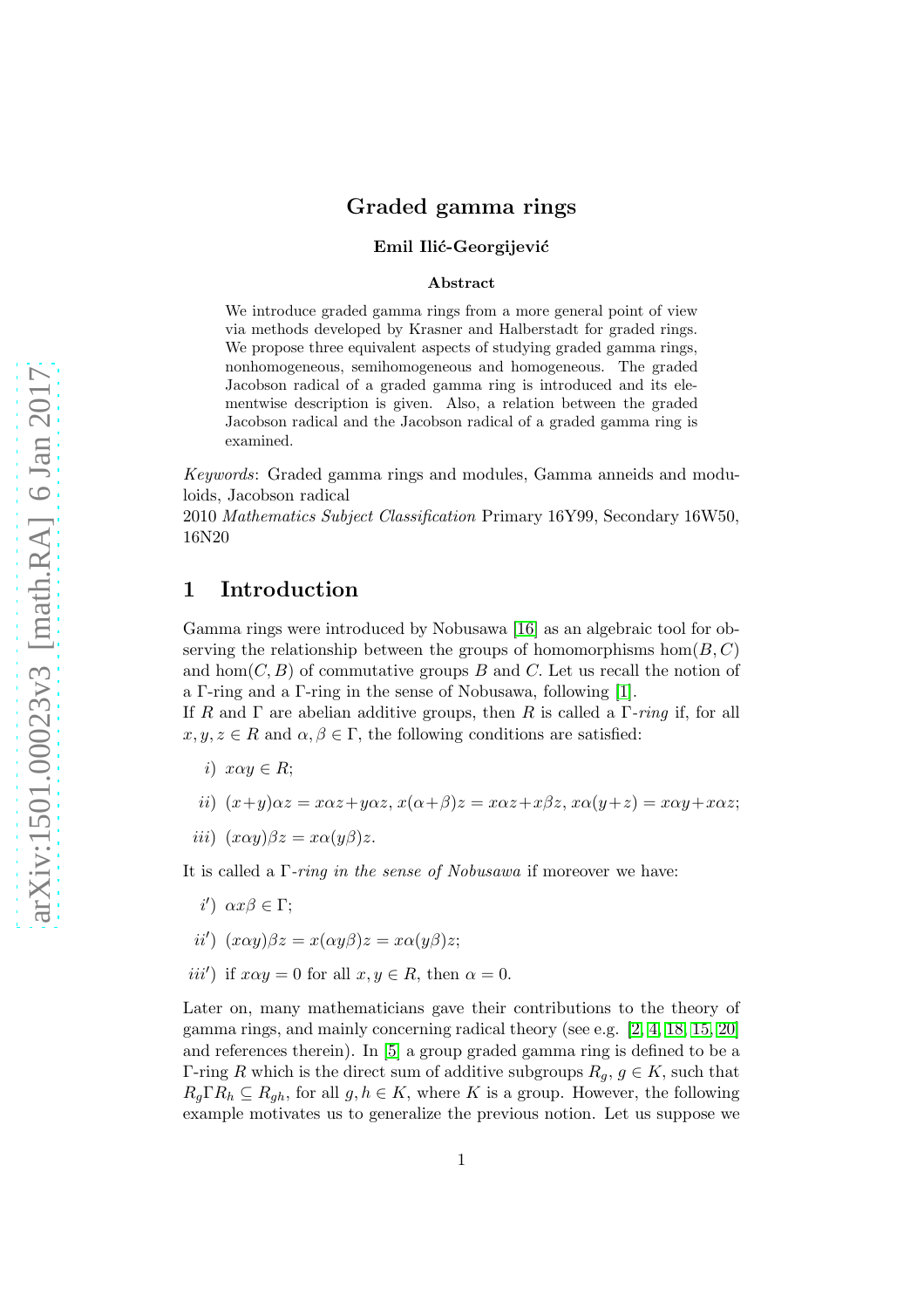## Graded gamma rings

#### Emil Ilić-Georgijević

#### Abstract

We introduce graded gamma rings from a more general point of view via methods developed by Krasner and Halberstadt for graded rings. We propose three equivalent aspects of studying graded gamma rings, nonhomogeneous, semihomogeneous and homogeneous. The graded Jacobson radical of a graded gamma ring is introduced and its elementwise description is given. Also, a relation between the graded Jacobson radical and the Jacobson radical of a graded gamma ring is examined.

*Keywords*: Graded gamma rings and modules, Gamma anneids and moduloids, Jacobson radical

2010 *Mathematics Subject Classification* Primary 16Y99, Secondary 16W50, 16N20

## <span id="page-0-0"></span>1 Introduction

Gamma rings were introduced by Nobusawa [\[16\]](#page-21-0) as an algebraic tool for observing the relationship between the groups of homomorphisms  $hom(B, C)$ and hom $(C, B)$  of commutative groups B and C. Let us recall the notion of a Γ-ring and a Γ-ring in the sense of Nobusawa, following [\[1\]](#page-20-0).

If R and Γ are abelian additive groups, then R is called a Γ*-ring* if, for all  $x, y, z \in R$  and  $\alpha, \beta \in \Gamma$ , the following conditions are satisfied:

- i)  $x\alpha y \in R$ ;
- ii)  $(x+y)\alpha z = x\alpha z + y\alpha z$ ,  $x(\alpha+\beta)z = x\alpha z + x\beta z$ ,  $x\alpha(y+z) = x\alpha y + x\alpha z$ ;
- iii)  $(x\alpha y)\beta z = x\alpha(y\beta)z$ .

It is called a Γ*-ring in the sense of Nobusawa* if moreover we have:

- *i'*)  $\alpha x \beta \in \Gamma$ ;
- ii')  $(x\alpha y)\beta z = x(\alpha y\beta)z = x\alpha(y\beta)z;$
- *iii'*) if  $x\alpha y = 0$  for all  $x, y \in R$ , then  $\alpha = 0$ .

Later on, many mathematicians gave their contributions to the theory of gamma rings, and mainly concerning radical theory (see e.g. [\[2,](#page-20-1) [4,](#page-21-1) [18,](#page-22-0) [15,](#page-21-2) [20\]](#page-22-1) and references therein). In [\[5\]](#page-21-3) a group graded gamma ring is defined to be a Γ-ring R which is the direct sum of additive subgroups  $R_g$ ,  $g \in K$ , such that  $R_q \Gamma R_h \subseteq R_{qh}$ , for all  $g, h \in K$ , where K is a group. However, the following example motivates us to generalize the previous notion. Let us suppose we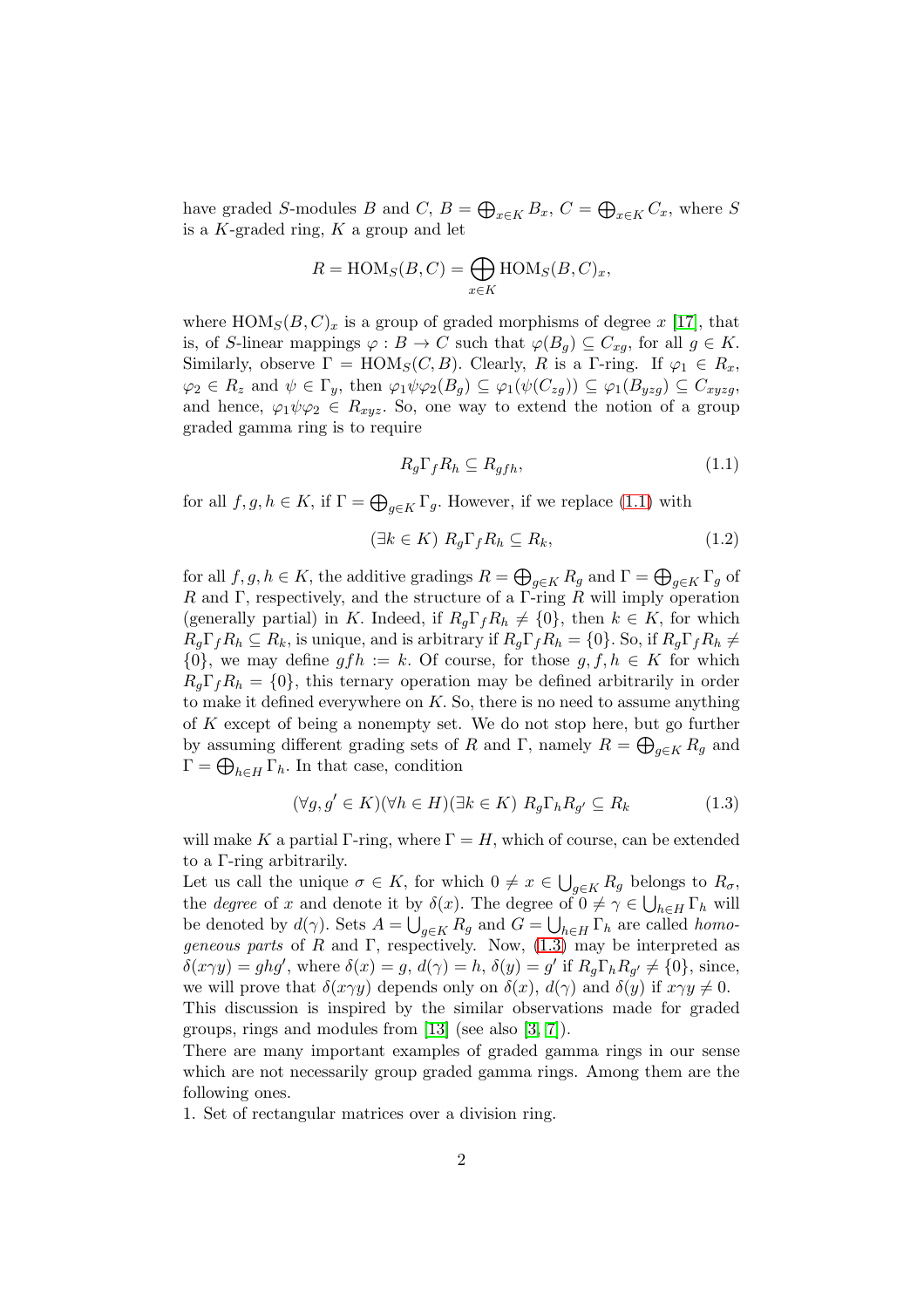have graded S-modules B and C,  $B = \bigoplus_{x \in K} B_x$ ,  $C = \bigoplus_{x \in K} C_x$ , where S is a  $K$ -graded ring,  $K$  a group and let

$$
R = \text{HOM}_S(B, C) = \bigoplus_{x \in K} \text{HOM}_S(B, C)_x,
$$

where  $\text{HOM}_S(B, C)_x$  is a group of graded morphisms of degree x [\[17\]](#page-21-4), that is, of S-linear mappings  $\varphi : B \to C$  such that  $\varphi(B_q) \subseteq C_{xq}$ , for all  $g \in K$ . Similarly, observe  $\Gamma = \text{HOM}_S(C, B)$ . Clearly, R is a Γ-ring. If  $\varphi_1 \in R_x$ ,  $\varphi_2 \in R_z$  and  $\psi \in \Gamma_y$ , then  $\varphi_1 \psi \varphi_2(B_q) \subseteq \varphi_1(\psi(C_{zq})) \subseteq \varphi_1(B_{yzq}) \subseteq C_{xyzq}$ , and hence,  $\varphi_1\psi\varphi_2 \in R_{xyz}$ . So, one way to extend the notion of a group graded gamma ring is to require

<span id="page-1-0"></span>
$$
R_g \Gamma_f R_h \subseteq R_{gfh},\tag{1.1}
$$

for all  $f, g, h \in K$ , if  $\Gamma = \bigoplus_{g \in K} \Gamma_g$ . However, if we replace [\(1.1\)](#page-1-0) with

$$
(\exists k \in K) \ R_g \Gamma_f R_h \subseteq R_k,\tag{1.2}
$$

for all  $f, g, h \in K$ , the additive gradings  $R = \bigoplus_{g \in K} R_g$  and  $\Gamma = \bigoplus_{g \in K} \Gamma_g$  of R and Γ, respectively, and the structure of a  $\Gamma$ -ring R will imply operation (generally partial) in K. Indeed, if  $R_q \Gamma_f R_h \neq \{0\}$ , then  $k \in K$ , for which  $R_q\Gamma_fR_h\subseteq R_k$ , is unique, and is arbitrary if  $R_q\Gamma_fR_h=\{0\}$ . So, if  $R_q\Gamma_fR_h\neq$  $\{0\}$ , we may define  $gfh := k$ . Of course, for those  $g, f, h \in K$  for which  $R_q\Gamma_fR_h = \{0\}$ , this ternary operation may be defined arbitrarily in order to make it defined everywhere on  $K$ . So, there is no need to assume anything of K except of being a nonempty set. We do not stop here, but go further by assuming different grading sets of R and  $\Gamma$ , namely  $R = \bigoplus_{g \in K} R_g$  and  $\Gamma = \bigoplus_{h \in H} \Gamma_h$ . In that case, condition

<span id="page-1-1"></span>
$$
(\forall g, g' \in K)(\forall h \in H)(\exists k \in K) \ R_g \Gamma_h R_{g'} \subseteq R_k \tag{1.3}
$$

will make K a partial Γ-ring, where  $\Gamma = H$ , which of course, can be extended to a Γ-ring arbitrarily.

Let us call the unique  $\sigma \in K$ , for which  $0 \neq x \in \bigcup_{g \in K} R_g$  belongs to  $R_{\sigma}$ , the *degree* of x and denote it by  $\delta(x)$ . The degree of  $0 \neq \gamma \in \bigcup_{h \in H} \Gamma_h$  will be denoted by  $d(\gamma)$ . Sets  $A = \bigcup_{g \in K} R_g$  and  $G = \bigcup_{h \in H} \Gamma_h$  are called *homogeneous parts* of R and Γ, respectively. Now, [\(1.3\)](#page-1-1) may be interpreted as  $\delta(x\gamma y) = ghg',$  where  $\delta(x) = g, d(\gamma) = h, \delta(y) = g'$  if  $R_g \Gamma_h R_{g'} \neq \{0\},$  since, we will prove that  $\delta(x\gamma y)$  depends only on  $\delta(x)$ ,  $d(\gamma)$  and  $\delta(y)$  if  $x\gamma y \neq 0$ . This discussion is inspired by the similar observations made for graded groups, rings and modules from [\[13\]](#page-21-5) (see also [\[3,](#page-21-6) [7\]](#page-21-7)).

There are many important examples of graded gamma rings in our sense which are not necessarily group graded gamma rings. Among them are the following ones.

1. Set of rectangular matrices over a division ring.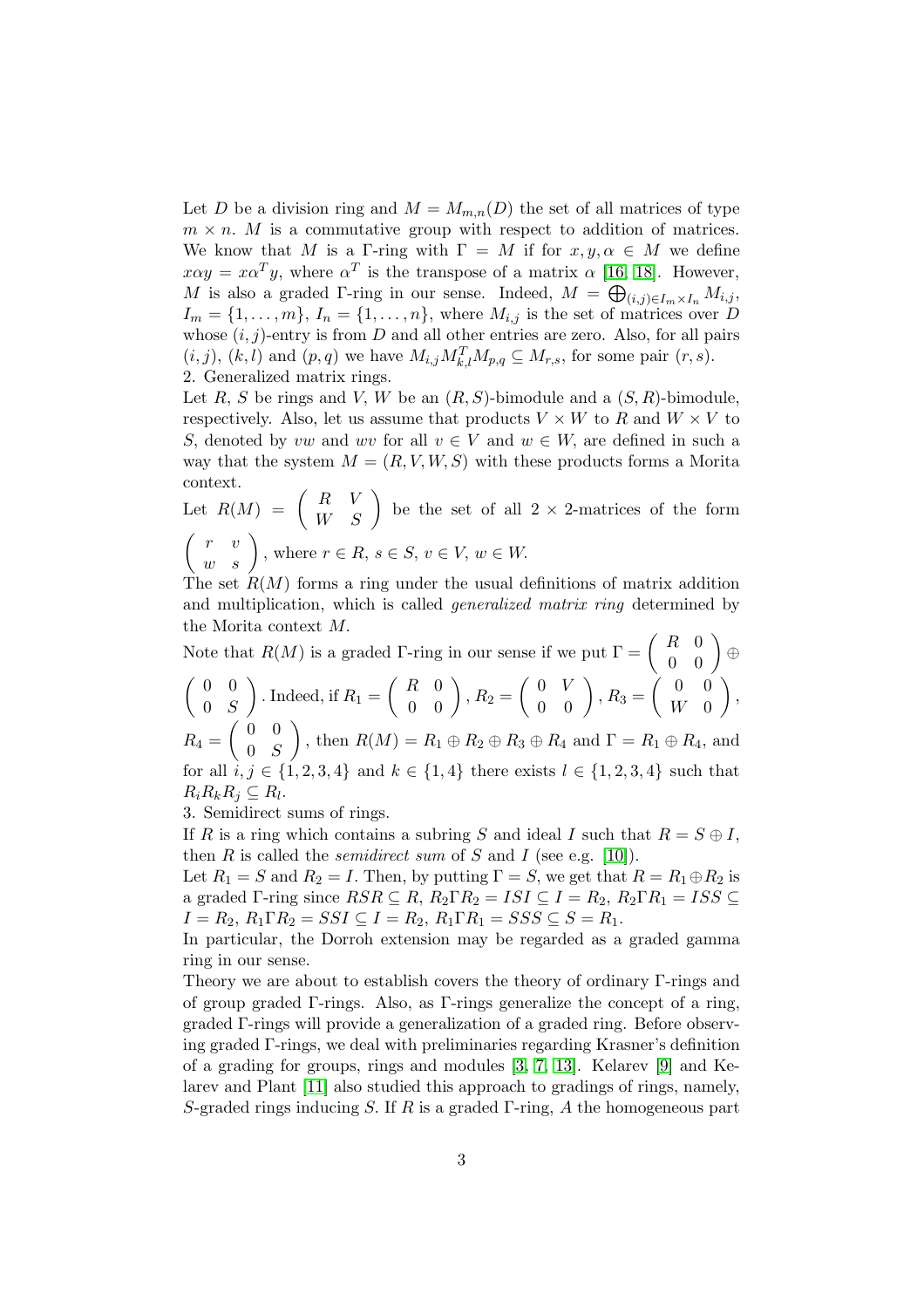Let D be a division ring and  $M = M_{m,n}(D)$  the set of all matrices of type  $m \times n$ . M is a commutative group with respect to addition of matrices. We know that M is a Γ-ring with  $\Gamma = M$  if for  $x, y, \alpha \in M$  we define  $x\alpha y = x\alpha^T y$ , where  $\alpha^T$  is the transpose of a matrix  $\alpha$  [\[16,](#page-21-0) [18\]](#page-22-0). However, M is also a graded Γ-ring in our sense. Indeed,  $M = \bigoplus_{(i,j)\in I_m \times I_n} M_{i,j}$ ,  $I_m = \{1, \ldots, m\}, I_n = \{1, \ldots, n\},$  where  $M_{i,j}$  is the set of matrices over D whose  $(i, j)$ -entry is from D and all other entries are zero. Also, for all pairs  $(i, j)$ ,  $(k, l)$  and  $(p, q)$  we have  $M_{i,j} M_{k,l}^T M_{p,q} \subseteq M_{r,s}$ , for some pair  $(r, s)$ . 2. Generalized matrix rings.

Let R, S be rings and V, W be an  $(R, S)$ -bimodule and a  $(S, R)$ -bimodule, respectively. Also, let us assume that products  $V \times W$  to R and  $W \times V$  to S, denoted by vw and wv for all  $v \in V$  and  $w \in W$ , are defined in such a way that the system  $M = (R, V, W, S)$  with these products forms a Morita context.

Let  $R(M) = \begin{pmatrix} R & V \\ W & S \end{pmatrix}$  be the set of all  $2 \times 2$ -matrices of the form  $\begin{pmatrix} r & v \\ w & s \end{pmatrix}$ , where  $r \in R$ ,  $s \in S$ ,  $v \in V$ ,  $w \in W$ .

The set  $R(M)$  forms a ring under the usual definitions of matrix addition and multiplication, which is called *generalized matrix ring* determined by the Morita context M.

Note that  $R(M)$  is a graded Γ-ring in our sense if we put  $\Gamma = \begin{pmatrix} R & 0 \\ 0 & 0 \end{pmatrix} \oplus$  $\begin{pmatrix} 0 & 0 \\ 0 & 0 \end{pmatrix}$  $0 S$  $\Bigg)\ .\ \mathrm{Indeed,}\ \mathrm{if}\ R_1=\left(\begin{array}{cc} R & 0 \ 0 & 0 \end{array}\right), R_2=\left(\begin{array}{cc} 0 & V \ 0 & 0 \end{array}\right), R_3=\left(\begin{array}{cc} 0 & 0 \ W & 0 \end{array}\right)$  $W$  0  $\Big),$  $R_4=\left(\begin{array}{cc} 0 & 0 \\ 0 & S \end{array}\right)$  $0 S$ , then  $R(M) = R_1 \oplus R_2 \oplus R_3 \oplus R_4$  and  $\Gamma = R_1 \oplus R_4$ , and for all  $i, j \in \{1, 2, 3, 4\}$  and  $k \in \{1, 4\}$  there exists  $l \in \{1, 2, 3, 4\}$  such that  $R_i R_k R_j \subseteq R_l$ .

3. Semidirect sums of rings.

If R is a ring which contains a subring S and ideal I such that  $R = S \oplus I$ , then  $R$  is called the *semidirect sum* of  $S$  and  $I$  (see e.g. [\[10\]](#page-21-8)).

Let  $R_1 = S$  and  $R_2 = I$ . Then, by putting  $\Gamma = S$ , we get that  $R = R_1 \oplus R_2$  is a graded Γ-ring since  $RSR \subseteq R$ ,  $R_2 \Gamma R_2 = ISI \subseteq I = R_2$ ,  $R_2 \Gamma R_1 = ISS \subseteq I$  $I = R_2, R_1 \Gamma R_2 = SSI \subseteq I = R_2, R_1 \Gamma R_1 = SSS \subseteq S = R_1.$ 

In particular, the Dorroh extension may be regarded as a graded gamma ring in our sense.

Theory we are about to establish covers the theory of ordinary Γ-rings and of group graded Γ-rings. Also, as Γ-rings generalize the concept of a ring, graded Γ-rings will provide a generalization of a graded ring. Before observing graded Γ-rings, we deal with preliminaries regarding Krasner's definition of a grading for groups, rings and modules [\[3,](#page-21-6) [7,](#page-21-7) [13\]](#page-21-5). Kelarev [\[9\]](#page-21-9) and Kelarev and Plant [\[11\]](#page-21-10) also studied this approach to gradings of rings, namely, S-graded rings inducing S. If R is a graded  $\Gamma$ -ring, A the homogeneous part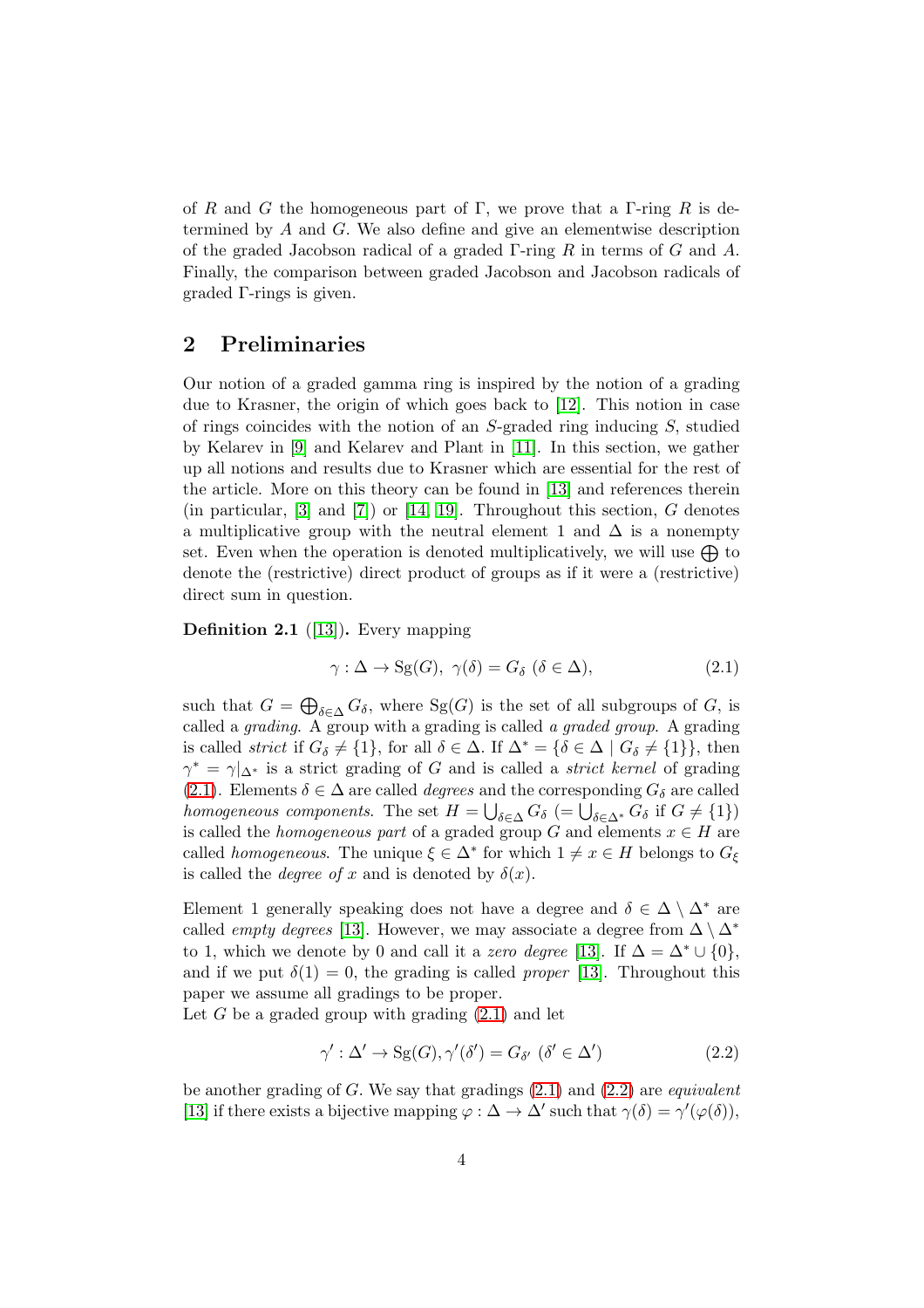of R and G the homogeneous part of Γ, we prove that a Γ-ring R is determined by A and G. We also define and give an elementwise description of the graded Jacobson radical of a graded Γ-ring R in terms of G and A. Finally, the comparison between graded Jacobson and Jacobson radicals of graded Γ-rings is given.

## 2 Preliminaries

Our notion of a graded gamma ring is inspired by the notion of a grading due to Krasner, the origin of which goes back to [\[12\]](#page-21-11). This notion in case of rings coincides with the notion of an  $S$ -graded ring inducing  $S$ , studied by Kelarev in [\[9\]](#page-21-9) and Kelarev and Plant in [\[11\]](#page-21-10). In this section, we gather up all notions and results due to Krasner which are essential for the rest of the article. More on this theory can be found in [\[13\]](#page-21-5) and references therein (in particular,  $[3]$  and  $[7]$ ) or  $[14, 19]$  $[14, 19]$ . Throughout this section, G denotes a multiplicative group with the neutral element 1 and  $\Delta$  is a nonempty set. Even when the operation is denoted multiplicatively, we will use  $\bigoplus$  to denote the (restrictive) direct product of groups as if it were a (restrictive) direct sum in question.

**Definition 2.1** ([\[13\]](#page-21-5)). Every mapping

<span id="page-3-0"></span>
$$
\gamma : \Delta \to \mathrm{Sg}(G), \ \gamma(\delta) = G_{\delta} \ (\delta \in \Delta), \tag{2.1}
$$

such that  $G = \bigoplus_{\delta \in \Delta} G_{\delta}$ , where  $Sg(G)$  is the set of all subgroups of  $G$ , is called a *grading*. A group with a grading is called *a graded group*. A grading is called *strict* if  $G_{\delta} \neq \{1\}$ , for all  $\delta \in \Delta$ . If  $\Delta^* = \{\delta \in \Delta \mid G_{\delta} \neq \{1\}\}\$ , then  $\gamma^* = \gamma |_{\Delta^*}$  is a strict grading of G and is called a *strict kernel* of grading [\(2.1\)](#page-3-0). Elements  $\delta \in \Delta$  are called *degrees* and the corresponding  $G_{\delta}$  are called *homogeneous components*. The set  $H = \bigcup_{\delta \in \Delta} G_{\delta} \ (= \bigcup_{\delta \in \Delta^*} G_{\delta} \text{ if } G \neq \{1\})$ is called the *homogeneous part* of a graded group G and elements  $x \in H$  are called *homogeneous*. The unique  $\xi \in \Delta^*$  for which  $1 \neq x \in H$  belongs to  $G_{\xi}$ is called the *degree of* x and is denoted by  $\delta(x)$ .

Element 1 generally speaking does not have a degree and  $\delta \in \Delta \setminus \Delta^*$  are called *empty degrees* [\[13\]](#page-21-5). However, we may associate a degree from  $\Delta \setminus \Delta^*$ to 1, which we denote by 0 and call it a *zero degree* [\[13\]](#page-21-5). If  $\Delta = \Delta^* \cup \{0\}$ , and if we put  $\delta(1) = 0$ , the grading is called *proper* [\[13\]](#page-21-5). Throughout this paper we assume all gradings to be proper.

Let G be a graded group with grading  $(2.1)$  and let

<span id="page-3-1"></span>
$$
\gamma': \Delta' \to \text{Sg}(G), \gamma'(\delta') = G_{\delta'} \ (\delta' \in \Delta')
$$
\n(2.2)

be another grading of G. We say that gradings [\(2.1\)](#page-3-0) and [\(2.2\)](#page-3-1) are *equivalent* [\[13\]](#page-21-5) if there exists a bijective mapping  $\varphi : \Delta \to \Delta'$  such that  $\gamma(\delta) = \gamma'(\varphi(\delta)),$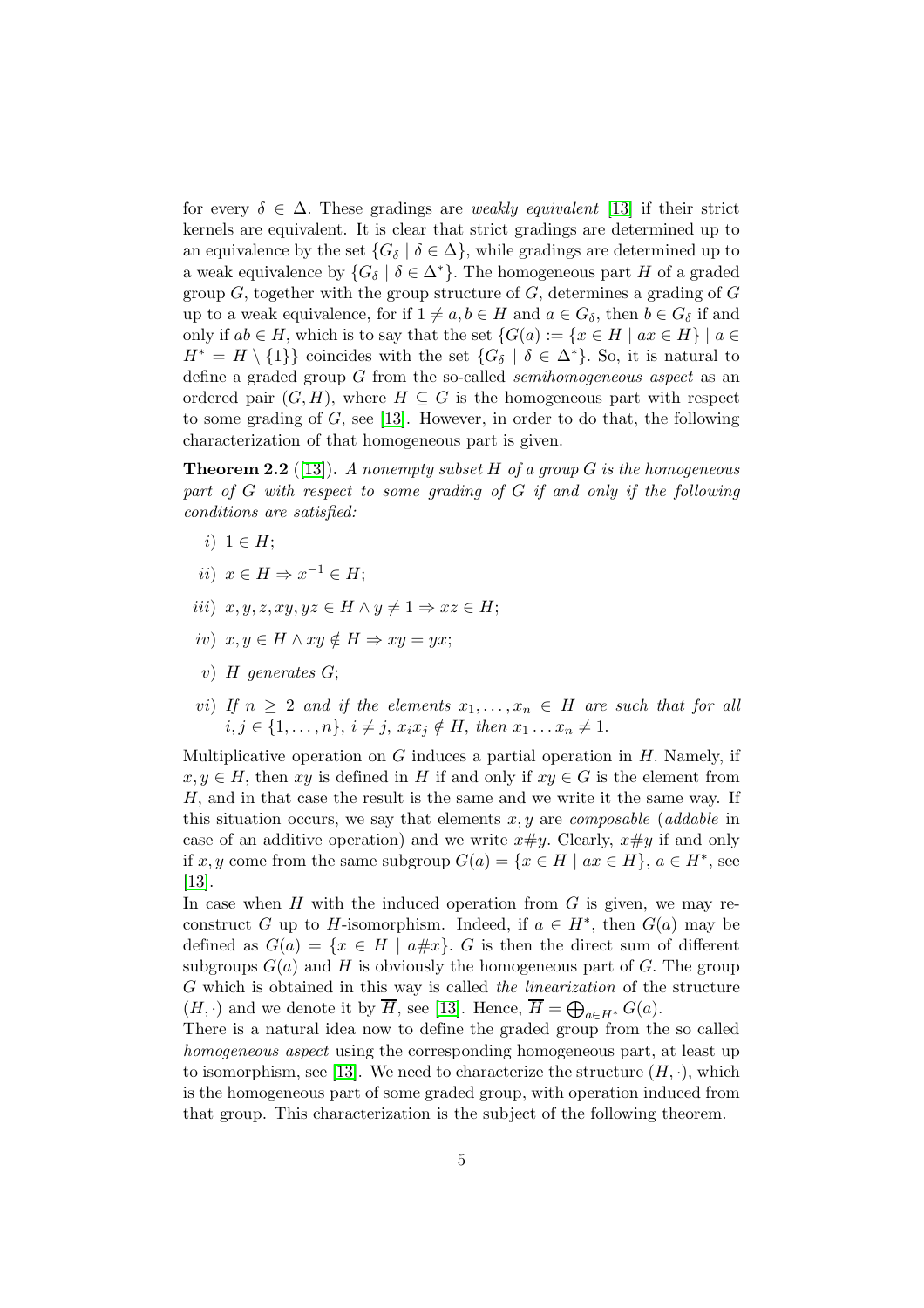for every  $\delta \in \Delta$ . These gradings are *weakly equivalent* [\[13\]](#page-21-5) if their strict kernels are equivalent. It is clear that strict gradings are determined up to an equivalence by the set  $\{G_\delta \mid \delta \in \Delta\}$ , while gradings are determined up to a weak equivalence by  ${G_\delta \mid \delta \in \Delta^*}$ . The homogeneous part H of a graded group  $G$ , together with the group structure of  $G$ , determines a grading of  $G$ up to a weak equivalence, for if  $1 \neq a, b \in H$  and  $a \in G_{\delta}$ , then  $b \in G_{\delta}$  if and only if  $ab \in H$ , which is to say that the set  $\{G(a) := \{x \in H \mid ax \in H\} \mid a \in$  $H^* = H \setminus \{1\}$  coincides with the set  $\{G_\delta \mid \delta \in \Delta^*\}$ . So, it is natural to define a graded group G from the so-called *semihomogeneous aspect* as an ordered pair  $(G, H)$ , where  $H \subseteq G$  is the homogeneous part with respect to some grading of  $G$ , see [\[13\]](#page-21-5). However, in order to do that, the following characterization of that homogeneous part is given.

<span id="page-4-0"></span>Theorem 2.2 ([\[13\]](#page-21-5)). *A nonempty subset* H *of a group* G *is the homogeneous part of* G *with respect to some grading of* G *if and only if the following conditions are satisfied:*

- i)  $1 \in H$ ;
- ii)  $x \in H \Rightarrow x^{-1} \in H;$
- iii)  $x, y, z, xy, yz \in H \wedge y \neq 1 \Rightarrow xz \in H;$
- iv)  $x, y \in H \wedge xy \notin H \Rightarrow xy = yx;$
- v) H *generates* G;
- *vi*) If  $n \geq 2$  and if the elements  $x_1, \ldots, x_n \in H$  are such that for all  $i, j \in \{1, ..., n\}, i \neq j, x_i x_j \notin H, \text{ then } x_1 ... x_n \neq 1.$

Multiplicative operation on  $G$  induces a partial operation in  $H$ . Namely, if  $x, y \in H$ , then xy is defined in H if and only if  $xy \in G$  is the element from H, and in that case the result is the same and we write it the same way. If this situation occurs, we say that elements x, y are *composable* (*addable* in case of an additive operation) and we write  $x \# y$ . Clearly,  $x \# y$  if and only if  $x, y$  come from the same subgroup  $G(a) = \{x \in H \mid ax \in H\}$ ,  $a \in H^*$ , see [\[13\]](#page-21-5).

In case when  $H$  with the induced operation from  $G$  is given, we may reconstruct G up to H-isomorphism. Indeed, if  $a \in H^*$ , then  $G(a)$  may be defined as  $G(a) = \{x \in H \mid a \# x\}$ . G is then the direct sum of different subgroups  $G(a)$  and H is obviously the homogeneous part of G. The group G which is obtained in this way is called *the linearization* of the structure  $(H, \cdot)$  and we denote it by H, see [\[13\]](#page-21-5). Hence,  $H = \bigoplus_{a \in H^*} G(a)$ .

There is a natural idea now to define the graded group from the so called *homogeneous aspect* using the corresponding homogeneous part, at least up to isomorphism, see [\[13\]](#page-21-5). We need to characterize the structure  $(H, \cdot)$ , which is the homogeneous part of some graded group, with operation induced from that group. This characterization is the subject of the following theorem.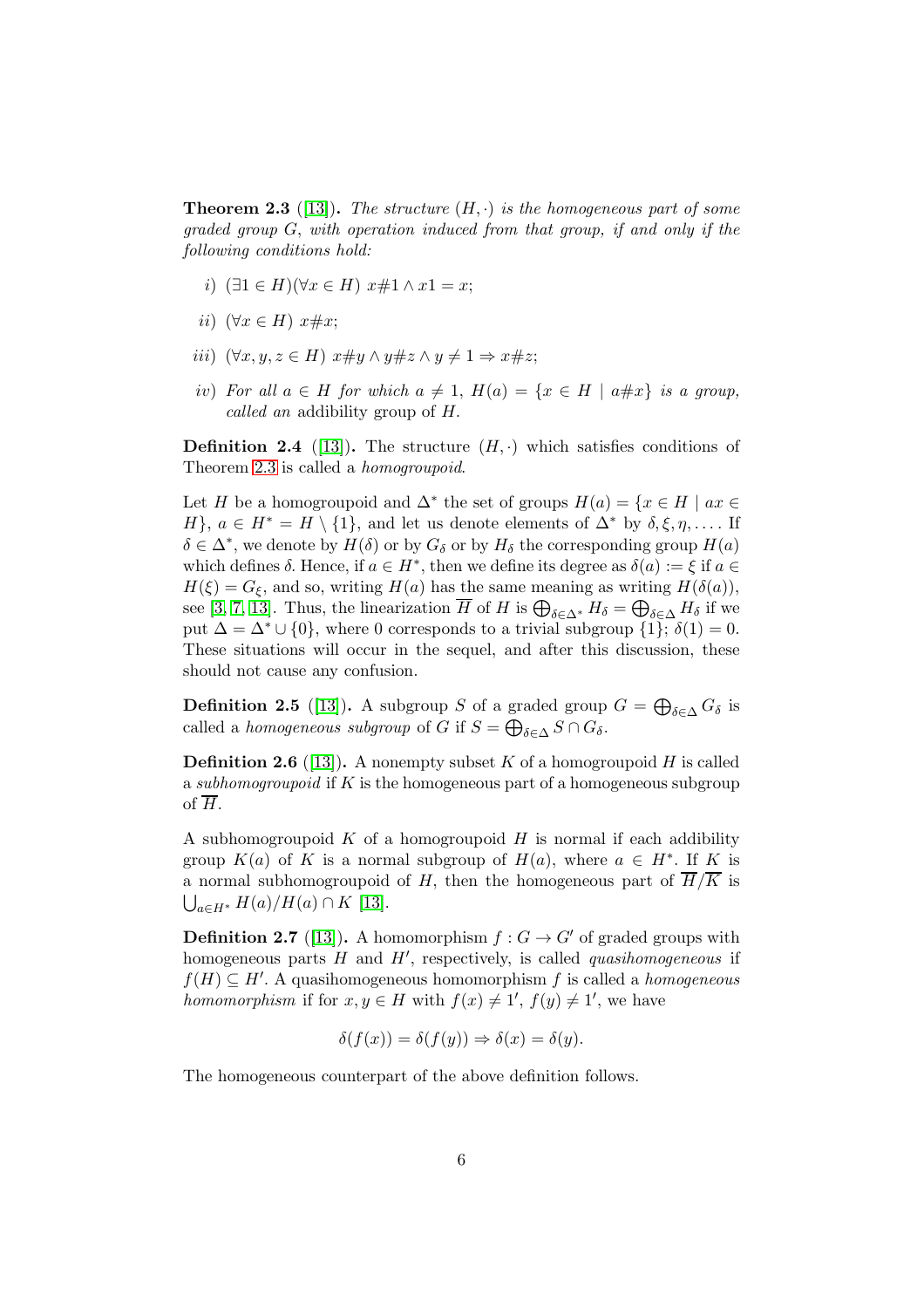<span id="page-5-0"></span>**Theorem 2.3** ([\[13\]](#page-21-5)). The structure  $(H, \cdot)$  is the homogeneous part of some *graded group* G, *with operation induced from that group, if and only if the following conditions hold:*

- i)  $(\exists 1 \in H)(\forall x \in H)$   $x \# 1 \wedge x1 = x$ ;
- ii)  $(\forall x \in H)$   $x \# x$ ;
- iii)  $(\forall x, y, z \in H)$   $x \# y \land y \# z \land y \neq 1 \Rightarrow x \# z;$
- *iv*) *For all*  $a \in H$  *for which*  $a \neq 1$ ,  $H(a) = \{x \in H | a \# x\}$  *is a group, called an* addibility group of H.

**Definition 2.4** ([\[13\]](#page-21-5)). The structure  $(H, \cdot)$  which satisfies conditions of Theorem [2.3](#page-5-0) is called a *homogroupoid*.

Let H be a homogroupoid and  $\Delta^*$  the set of groups  $H(a) = \{x \in H \mid ax \in$ H,  $a \in H^* = H \setminus \{1\}$ , and let us denote elements of  $\Delta^*$  by  $\delta, \xi, \eta, \ldots$  If  $\delta \in \Delta^*$ , we denote by  $H(\delta)$  or by  $G_{\delta}$  or by  $H_{\delta}$  the corresponding group  $H(a)$ which defines  $\delta$ . Hence, if  $a \in H^*$ , then we define its degree as  $\delta(a) := \xi$  if  $a \in$  $H(\xi) = G_{\xi}$ , and so, writing  $H(a)$  has the same meaning as writing  $H(\delta(a))$ , see [\[3,](#page-21-6) [7,](#page-21-7) [13\]](#page-21-5). Thus, the linearization H of H is  $\bigoplus_{\delta\in\Delta^*} H_\delta = \bigoplus_{\delta\in\Delta} H_\delta$  if we put  $\Delta = \Delta^* \cup \{0\}$ , where 0 corresponds to a trivial subgroup  $\{1\}$ ;  $\delta(1) = 0$ . These situations will occur in the sequel, and after this discussion, these should not cause any confusion.

**Definition 2.5** ([\[13\]](#page-21-5)). A subgroup S of a graded group  $G = \bigoplus_{\delta \in \Delta} G_{\delta}$  is called a *homogeneous subgroup* of G if  $S = \bigoplus_{\delta \in \Delta} S \cap G_{\delta}$ .

**Definition 2.6** ([\[13\]](#page-21-5)). A nonempty subset K of a homogroupoid H is called a *subhomogroupoid* if K is the homogeneous part of a homogeneous subgroup of  $\overline{H}$ .

A subhomogroupoid  $K$  of a homogroupoid  $H$  is normal if each addibility group  $K(a)$  of K is a normal subgroup of  $H(a)$ , where  $a \in H^*$ . If K is a normal subhomogroupoid of H, then the homogeneous part of  $\overline{H}/\overline{K}$  is  $\bigcup_{a \in H^*} H(a)/H(a) \cap K$  [\[13\]](#page-21-5).

**Definition 2.7** ([\[13\]](#page-21-5)). A homomorphism  $f: G \to G'$  of graded groups with homogeneous parts H and H', respectively, is called *quasihomogeneous* if  $f(H) \subseteq H'$ . A quasihomogeneous homomorphism f is called a *homogeneous homomorphism* if for  $x, y \in H$  with  $f(x) \neq 1'$ ,  $f(y) \neq 1'$ , we have

$$
\delta(f(x)) = \delta(f(y)) \Rightarrow \delta(x) = \delta(y).
$$

The homogeneous counterpart of the above definition follows.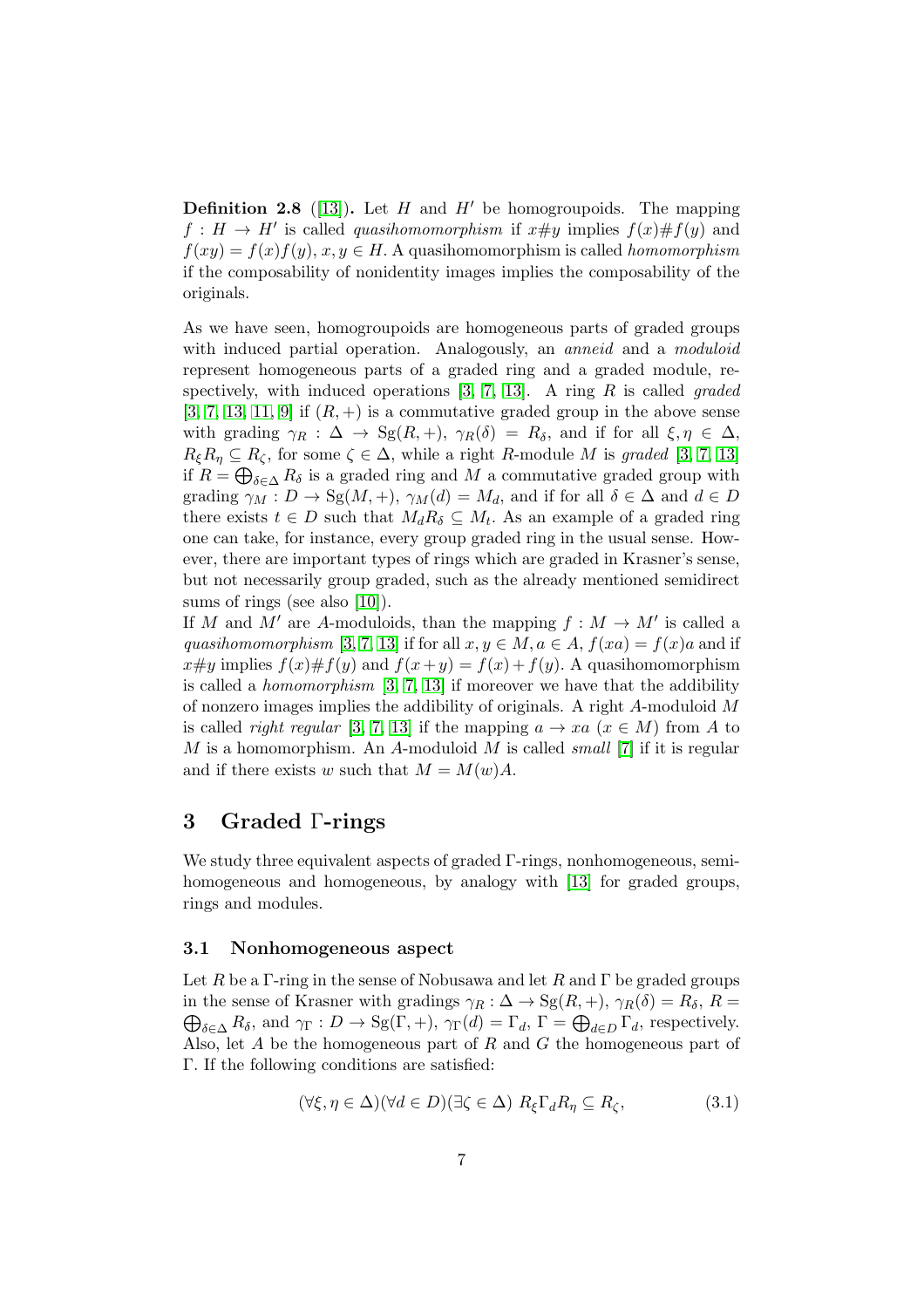**Definition 2.8** ([\[13\]](#page-21-5)). Let H and H' be homogroupoids. The mapping  $f: H \to H'$  is called *quasihomomorphism* if  $x \# y$  implies  $f(x) \# f(y)$  and  $f(xy) = f(x) f(y), x, y \in H$ . A quasihomomorphism is called *homomorphism* if the composability of nonidentity images implies the composability of the originals.

As we have seen, homogroupoids are homogeneous parts of graded groups with induced partial operation. Analogously, an *anneid* and a *moduloid* represent homogeneous parts of a graded ring and a graded module, respectively, with induced operations [\[3,](#page-21-6) [7,](#page-21-7) [13\]](#page-21-5). A ring R is called *graded*  $[3, 7, 13, 11, 9]$  $[3, 7, 13, 11, 9]$  $[3, 7, 13, 11, 9]$  $[3, 7, 13, 11, 9]$  $[3, 7, 13, 11, 9]$  if  $(R, +)$  is a commutative graded group in the above sense with grading  $\gamma_R : \Delta \to \text{Sg}(R, +), \gamma_R(\delta) = R_\delta$ , and if for all  $\xi, \eta \in \Delta$ ,  $R_{\xi}R_{\eta} \subseteq R_{\zeta}$ , for some  $\zeta \in \Delta$ , while a right R-module M is graded [\[3,](#page-21-6) [7,](#page-21-7) [13\]](#page-21-5) if  $R = \bigoplus_{\delta \in \Delta} R_{\delta}$  is a graded ring and M a commutative graded group with grading  $\gamma_M : D \to \text{Sg}(M, +), \gamma_M(d) = M_d$ , and if for all  $\delta \in \Delta$  and  $d \in D$ there exists  $t \in D$  such that  $M_d R_\delta \subseteq M_t$ . As an example of a graded ring one can take, for instance, every group graded ring in the usual sense. However, there are important types of rings which are graded in Krasner's sense, but not necessarily group graded, such as the already mentioned semidirect sums of rings (see also [\[10\]](#page-21-8)).

If M and M' are A-moduloids, than the mapping  $f : M \to M'$  is called a *quasihomomorphism* [\[3,](#page-21-6) [7,](#page-21-7) [13\]](#page-21-5) if for all  $x, y \in M, a \in A$ ,  $f(xa) = f(x)a$  and if  $x \# y$  implies  $f(x) \# f(y)$  and  $f(x+y) = f(x) + f(y)$ . A quasihomomorphism is called a *homomorphism* [\[3,](#page-21-6) [7,](#page-21-7) [13\]](#page-21-5) if moreover we have that the addibility of nonzero images implies the addibility of originals. A right A-moduloid M is called *right regular* [\[3,](#page-21-6) [7,](#page-21-7) [13\]](#page-21-5) if the mapping  $a \to xa$  ( $x \in M$ ) from A to M is a homomorphism. An A-moduloid M is called *small* [\[7\]](#page-21-7) if it is regular and if there exists w such that  $M = M(w)A$ .

## 3 Graded Γ-rings

We study three equivalent aspects of graded Γ-rings, nonhomogeneous, semi-homogeneous and homogeneous, by analogy with [\[13\]](#page-21-5) for graded groups, rings and modules.

#### 3.1 Nonhomogeneous aspect

Let R be a Γ-ring in the sense of Nobusawa and let R and  $\Gamma$  be graded groups  $\bigoplus_{\delta \in \Delta} R_{\delta}$ , and  $\gamma_{\Gamma}: D \to \mathrm{Sg}(\Gamma,+), \gamma_{\Gamma}(d) = \Gamma_d, \Gamma = \bigoplus_{d \in D} \Gamma_d$ , respectively. in the sense of Krasner with gradings  $\gamma_R : \Delta \to \text{Sg}(R, +), \gamma_R(\delta) = R_\delta, R =$ Also, let  $A$  be the homogeneous part of  $R$  and  $G$  the homogeneous part of Γ. If the following conditions are satisfied:

<span id="page-6-0"></span>
$$
(\forall \xi, \eta \in \Delta)(\forall d \in D)(\exists \zeta \in \Delta) \ R_{\xi} \Gamma_{d} R_{\eta} \subseteq R_{\zeta}, \tag{3.1}
$$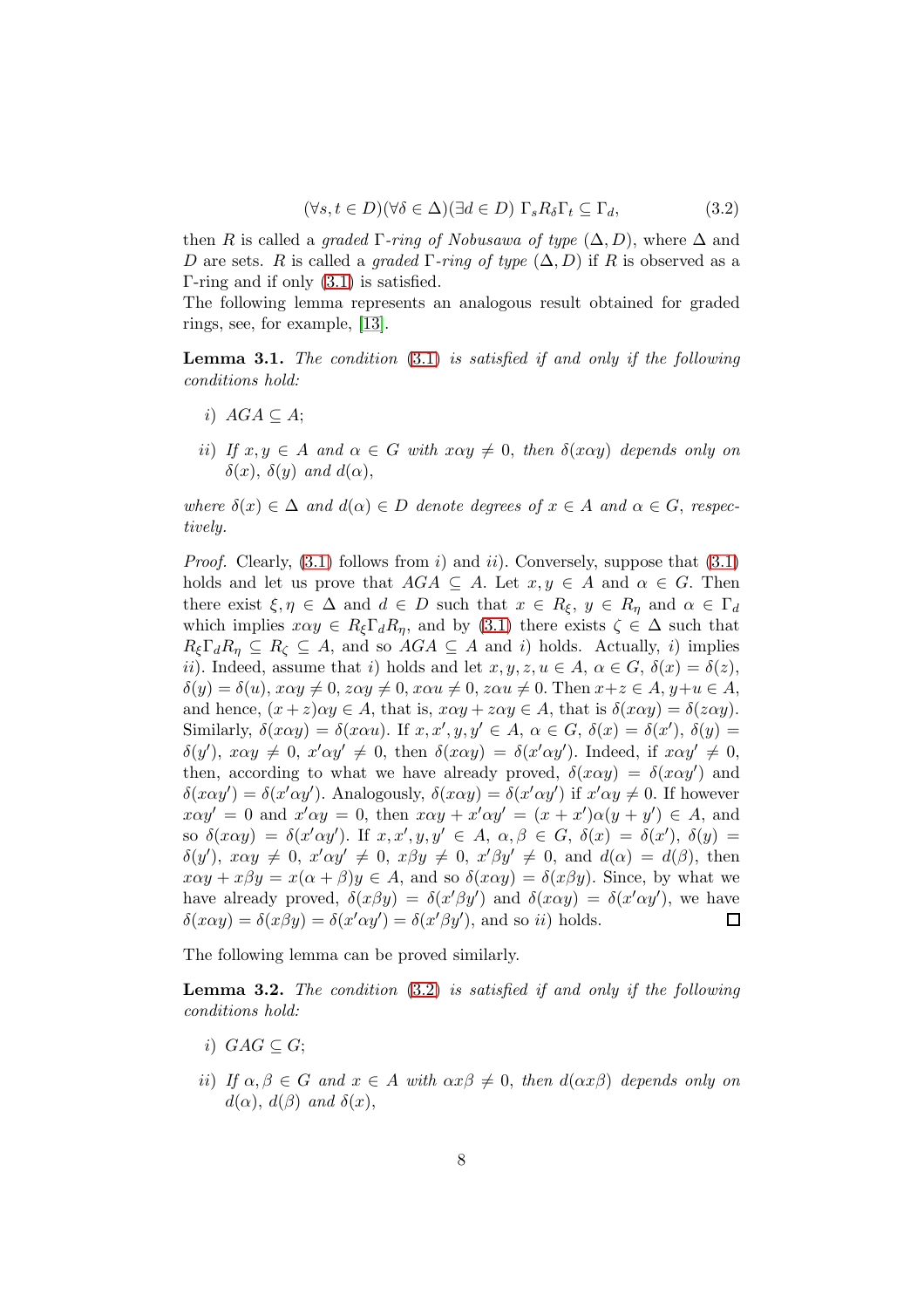<span id="page-7-0"></span>
$$
(\forall s, t \in D)(\forall \delta \in \Delta)(\exists d \in D) \Gamma_s R_{\delta} \Gamma_t \subseteq \Gamma_d, \tag{3.2}
$$

then R is called a graded  $\Gamma$ *-ring of Nobusawa of type*  $(\Delta, D)$ , where  $\Delta$  and D are sets. R is called a *graded*  $\Gamma$ *-ring of type*  $(\Delta, D)$  if R is observed as a Γ-ring and if only [\(3.1\)](#page-6-0) is satisfied.

The following lemma represents an analogous result obtained for graded rings, see, for example, [\[13\]](#page-21-5).

<span id="page-7-1"></span>Lemma 3.1. *The condition* [\(3.1\)](#page-6-0) *is satisfied if and only if the following conditions hold:*

- i)  $AGA \subseteq A$ ;
- *ii*) *If*  $x, y \in A$  *and*  $\alpha \in G$  *with*  $x \alpha y \neq 0$ , *then*  $\delta(x \alpha y)$  *depends only on*  $\delta(x)$ ,  $\delta(y)$  *and*  $d(\alpha)$ ,

*where*  $\delta(x) \in \Delta$  *and*  $d(\alpha) \in D$  *denote degrees of*  $x \in A$  *and*  $\alpha \in G$ *, respectively.*

*Proof.* Clearly,  $(3.1)$  follows from i) and ii). Conversely, suppose that  $(3.1)$ holds and let us prove that  $AGA \subseteq A$ . Let  $x, y \in A$  and  $\alpha \in G$ . Then there exist  $\xi, \eta \in \Delta$  and  $d \in D$  such that  $x \in R_{\xi}, y \in R_{\eta}$  and  $\alpha \in \Gamma_d$ which implies  $x\alpha y \in R_{\xi} \Gamma_d R_{\eta}$ , and by [\(3.1\)](#page-6-0) there exists  $\zeta \in \Delta$  such that  $R_{\xi}\Gamma_{d}R_{\eta} \subseteq R_{\zeta} \subseteq A$ , and so  $AGA \subseteq A$  and i) holds. Actually, i) implies ii). Indeed, assume that i) holds and let  $x, y, z, u \in A$ ,  $\alpha \in G$ ,  $\delta(x) = \delta(z)$ ,  $\delta(y) = \delta(u)$ ,  $x\alpha y \neq 0$ ,  $z\alpha y \neq 0$ ,  $x\alpha u \neq 0$ ,  $z\alpha u \neq 0$ . Then  $x+z \in A$ ,  $y+u \in A$ , and hence,  $(x+z)\alpha y \in A$ , that is,  $x\alpha y + z\alpha y \in A$ , that is  $\delta(x\alpha y) = \delta(z\alpha y)$ . Similarly,  $\delta(x\alpha y) = \delta(x\alpha u)$ . If  $x, x', y, y' \in A$ ,  $\alpha \in G$ ,  $\delta(x) = \delta(x')$ ,  $\delta(y) =$  $\delta(y')$ ,  $x\alpha y \neq 0$ ,  $x'\alpha y' \neq 0$ , then  $\delta(x\alpha y) = \delta(x'\alpha y')$ . Indeed, if  $x\alpha y' \neq 0$ , then, according to what we have already proved,  $\delta(x\alpha y) = \delta(x\alpha y')$  and  $\delta(x\alpha y') = \delta(x'\alpha y')$ . Analogously,  $\delta(x\alpha y) = \delta(x'\alpha y')$  if  $x'\alpha y \neq 0$ . If however  $x\alpha y' = 0$  and  $x'\alpha y = 0$ , then  $x\alpha y + x'\alpha y' = (x + x')\alpha (y + y') \in A$ , and so  $\delta(x\alpha y) = \delta(x'\alpha y')$ . If  $x, x', y, y' \in A$ ,  $\alpha, \beta \in G$ ,  $\delta(x) = \delta(x')$ ,  $\delta(y) =$  $\delta(y')$ ,  $x\alpha y \neq 0$ ,  $x'\alpha y' \neq 0$ ,  $x\beta y \neq 0$ ,  $x'\beta y' \neq 0$ , and  $d(\alpha) = d(\beta)$ , then  $x\alpha y + x\beta y = x(\alpha + \beta)y \in A$ , and so  $\delta(x\alpha y) = \delta(x\beta y)$ . Since, by what we have already proved,  $\delta(x\beta y) = \delta(x'\beta y')$  and  $\delta(x\alpha y) = \delta(x'\alpha y')$ , we have  $\delta(x\alpha y) = \delta(x\beta y) = \delta(x'\alpha y') = \delta(x'\beta y')$ , and so *ii*) holds.  $\Box$ 

The following lemma can be proved similarly.

<span id="page-7-2"></span>Lemma 3.2. *The condition* [\(3.2\)](#page-7-0) *is satisfied if and only if the following conditions hold:*

- i)  $GAG \subseteq G$ ;
- *ii*) *If*  $\alpha, \beta \in G$  *and*  $x \in A$  *with*  $\alpha x \beta \neq 0$ , *then*  $d(\alpha x \beta)$  *depends only on*  $d(\alpha)$ ,  $d(\beta)$  *and*  $\delta(x)$ ,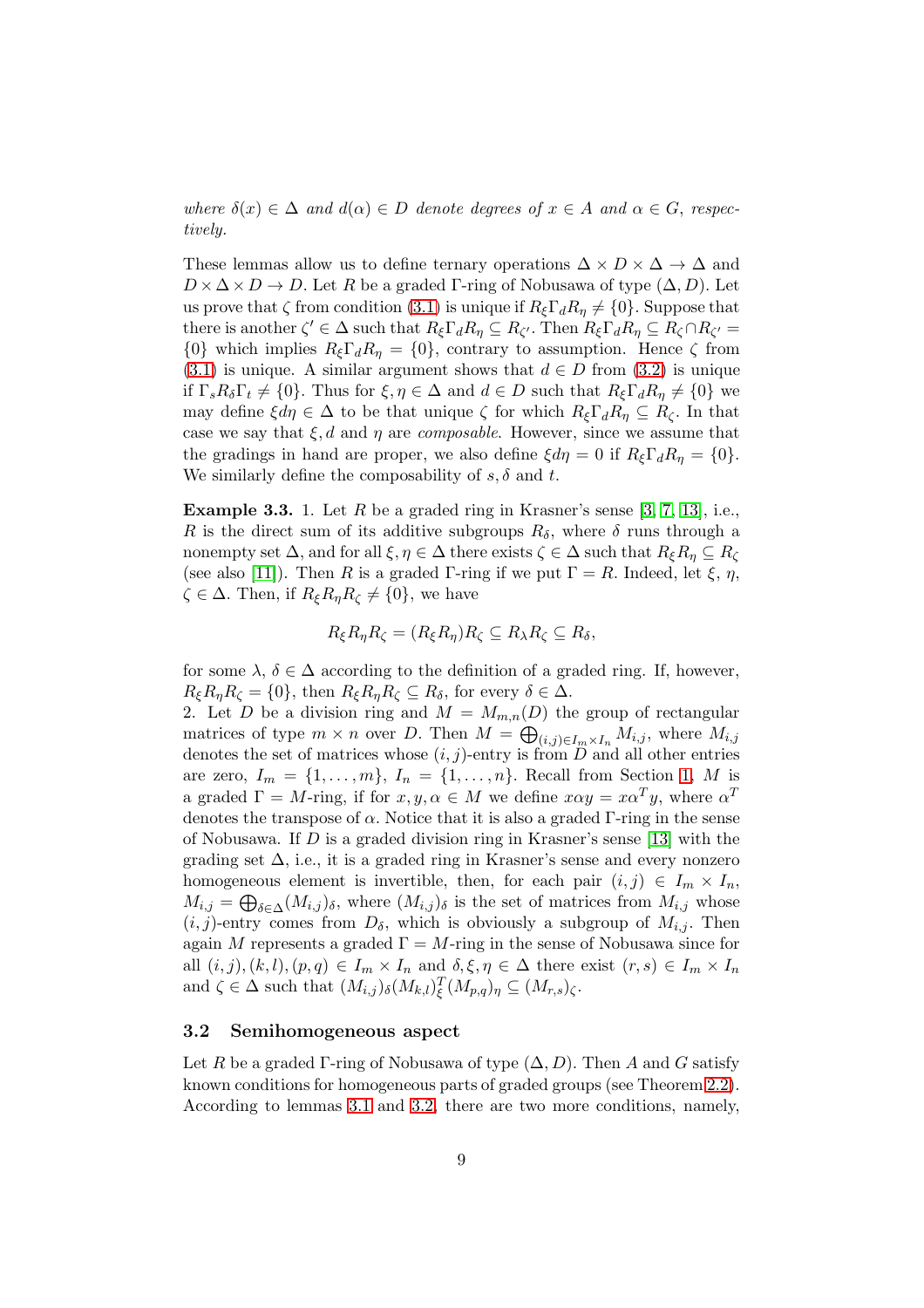*where*  $\delta(x) \in \Delta$  *and*  $d(\alpha) \in D$  *denote degrees of*  $x \in A$  *and*  $\alpha \in G$ *, respectively.*

These lemmas allow us to define ternary operations  $\Delta \times D \times \Delta \rightarrow \Delta$  and  $D \times \Delta \times D \to D$ . Let R be a graded Γ-ring of Nobusawa of type  $(\Delta, D)$ . Let us prove that  $\zeta$  from condition [\(3.1\)](#page-6-0) is unique if  $R_{\xi} \Gamma_d R_n \neq \{0\}$ . Suppose that there is another  $\zeta' \in \Delta$  such that  $R_{\xi} \Gamma_d R_{\eta} \subseteq R_{\zeta'}$ . Then  $R_{\xi} \Gamma_d R_{\eta} \subseteq R_{\zeta} \cap R_{\zeta'} =$  $\{0\}$  which implies  $R_{\xi} \Gamma_d R_n = \{0\}$ , contrary to assumption. Hence  $\zeta$  from [\(3.1\)](#page-6-0) is unique. A similar argument shows that  $d \in D$  from [\(3.2\)](#page-7-0) is unique if  $\Gamma_s R_\delta \Gamma_t \neq \{0\}$ . Thus for  $\xi, \eta \in \Delta$  and  $d \in D$  such that  $R_\xi \Gamma_d R_\eta \neq \{0\}$  we may define  $\xi d\eta \in \Delta$  to be that unique  $\zeta$  for which  $R_{\xi} \Gamma_{d} R_{\eta} \subseteq R_{\zeta}$ . In that case we say that  $\xi$ , d and  $\eta$  are *composable*. However, since we assume that the gradings in hand are proper, we also define  $\xi d\eta = 0$  if  $R_{\xi} \Gamma_{d} R_{n} = \{0\}.$ We similarly define the composability of  $s, \delta$  and t.

<span id="page-8-0"></span>**Example 3.3.** 1. Let R be a graded ring in Krasner's sense [\[3,](#page-21-6) [7,](#page-21-7) [13\]](#page-21-5), i.e., R is the direct sum of its additive subgroups  $R_{\delta}$ , where  $\delta$  runs through a nonempty set  $\Delta$ , and for all  $\xi, \eta \in \Delta$  there exists  $\zeta \in \Delta$  such that  $R_{\xi}R_{\eta} \subseteq R_{\zeta}$ (see also [\[11\]](#page-21-10)). Then R is a graded Γ-ring if we put  $\Gamma = R$ . Indeed, let  $\xi, \eta$ ,  $\zeta \in \Delta$ . Then, if  $R_{\xi}R_{\eta}R_{\zeta} \neq \{0\}$ , we have

$$
R_{\xi}R_{\eta}R_{\zeta} = (R_{\xi}R_{\eta})R_{\zeta} \subseteq R_{\lambda}R_{\zeta} \subseteq R_{\delta},
$$

for some  $\lambda, \delta \in \Delta$  according to the definition of a graded ring. If, however,  $R_{\xi}R_{\eta}R_{\zeta} = \{0\}$ , then  $R_{\xi}R_{\eta}R_{\zeta} \subseteq R_{\delta}$ , for every  $\delta \in \Delta$ .

2. Let D be a division ring and  $M = M_{m,n}(D)$  the group of rectangular matrices of type  $m \times n$  over D. Then  $M = \bigoplus_{(i,j)\in I_m \times I_n} M_{i,j}$ , where  $M_{i,j}$ denotes the set of matrices whose  $(i, j)$ -entry is from  $\ddot{D}$  and all other entries are zero,  $I_m = \{1, \ldots, m\}$ ,  $I_n = \{1, \ldots, n\}$ . Recall from Section [1,](#page-0-0) M is a graded  $\Gamma = M$ -ring, if for  $x, y, \alpha \in M$  we define  $x \alpha y = x \alpha^T y$ , where  $\alpha^T$ denotes the transpose of  $\alpha$ . Notice that it is also a graded Γ-ring in the sense of Nobusawa. If D is a graded division ring in Krasner's sense [\[13\]](#page-21-5) with the grading set  $\Delta$ , i.e., it is a graded ring in Krasner's sense and every nonzero homogeneous element is invertible, then, for each pair  $(i, j) \in I_m \times I_n$ ,  $M_{i,j} = \bigoplus_{\delta \in \Delta} (M_{i,j})_{\delta}$ , where  $(M_{i,j})_{\delta}$  is the set of matrices from  $M_{i,j}$  whose  $(i, j)$ -entry comes from  $D_{\delta}$ , which is obviously a subgroup of  $M_{i,j}$ . Then again M represents a graded  $\Gamma = M$ -ring in the sense of Nobusawa since for all  $(i, j), (k, l), (p, q) \in I_m \times I_n$  and  $\delta, \xi, \eta \in \Delta$  there exist  $(r, s) \in I_m \times I_n$ and  $\zeta \in \Delta$  such that  $(M_{i,j})_{\delta} (M_{k,l})_{\xi}^{T} (M_{p,q})_{\eta} \subseteq (M_{r,s})_{\zeta}$ .

#### 3.2 Semihomogeneous aspect

Let R be a graded Γ-ring of Nobusawa of type  $(\Delta, D)$ . Then A and G satisfy known conditions for homogeneous parts of graded groups (see Theorem [2.2\)](#page-4-0). According to lemmas [3.1](#page-7-1) and [3.2,](#page-7-2) there are two more conditions, namely,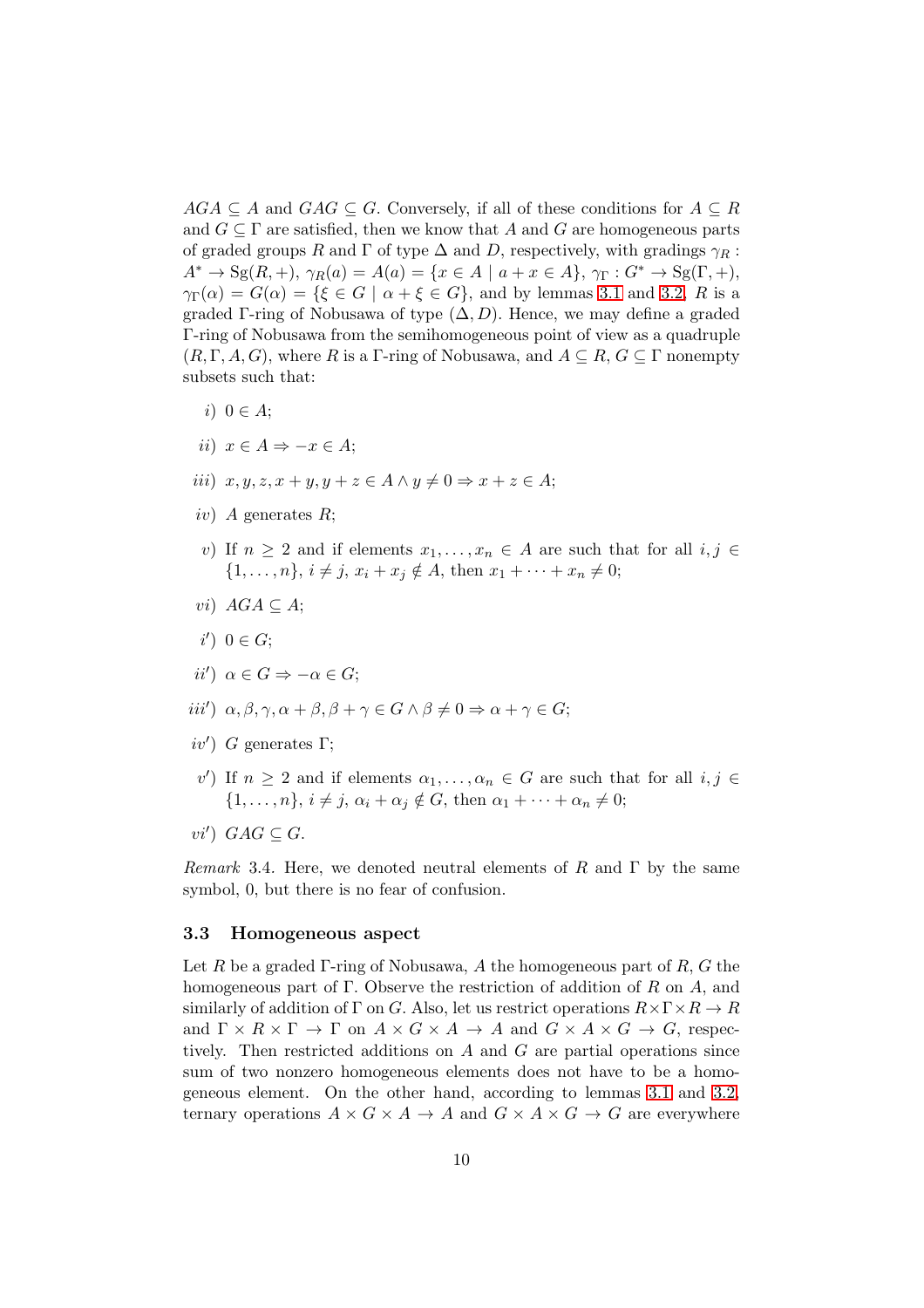$AGA \subseteq A$  and  $GAG \subseteq G$ . Conversely, if all of these conditions for  $A \subseteq R$ and  $G \subseteq \Gamma$  are satisfied, then we know that A and G are homogeneous parts of graded groups R and  $\Gamma$  of type  $\Delta$  and D, respectively, with gradings  $\gamma_R$ :  $A^* \rightarrow \text{Sg}(R, +), \gamma_R(a) = A(a) = \{x \in A \mid a + x \in A\}, \gamma_{\Gamma}: G^* \rightarrow \text{Sg}(\Gamma, +),$  $\gamma_{\Gamma}(\alpha) = G(\alpha) = {\xi \in G \mid \alpha + \xi \in G},$  and by lemmas [3.1](#page-7-1) and [3.2,](#page-7-2) R is a graded Γ-ring of Nobusawa of type  $(\Delta, D)$ . Hence, we may define a graded Γ-ring of Nobusawa from the semihomogeneous point of view as a quadruple  $(R, \Gamma, A, G)$ , where R is a Γ-ring of Nobusawa, and  $A \subseteq R$ ,  $G \subseteq \Gamma$  nonempty subsets such that:

- i)  $0 \in A$ ;
- ii)  $x \in A \Rightarrow -x \in A$ ;
- iii)  $x, y, z, x + y, y + z \in A \wedge y \neq 0 \Rightarrow x + z \in A;$
- iv) A generates  $R$ ;
- v) If  $n \geq 2$  and if elements  $x_1, \ldots, x_n \in A$  are such that for all  $i, j \in \mathbb{Z}$  $\{1, \ldots, n\}, i \neq j, x_i + x_j \notin A$ , then  $x_1 + \cdots + x_n \neq 0;$
- vi)  $AGA \subseteq A$ :
- $i') \; 0 \in G;$
- $ii') \ \alpha \in G \Rightarrow -\alpha \in G;$
- iii')  $\alpha, \beta, \gamma, \alpha + \beta, \beta + \gamma \in G \land \beta \neq 0 \Rightarrow \alpha + \gamma \in G;$
- $iv'$ ) G generates  $\Gamma$ ;
- v') If  $n \geq 2$  and if elements  $\alpha_1, \ldots, \alpha_n \in G$  are such that for all  $i, j \in$  $\{1,\ldots,n\}, i \neq j, \alpha_i+\alpha_j \notin G$ , then  $\alpha_1+\cdots+\alpha_n \neq 0;$
- $vi')$   $GAG \subseteq G$ .

*Remark* 3.4. Here, we denoted neutral elements of R and  $\Gamma$  by the same symbol, 0, but there is no fear of confusion.

#### 3.3 Homogeneous aspect

Let R be a graded Γ-ring of Nobusawa, A the homogeneous part of R, G the homogeneous part of Γ. Observe the restriction of addition of R on A, and similarly of addition of Γ on G. Also, let us restrict operations  $R \times \Gamma \times R \to R$ and  $\Gamma \times R \times \Gamma \to \Gamma$  on  $A \times G \times A \to A$  and  $G \times A \times G \to G$ , respectively. Then restricted additions on A and G are partial operations since sum of two nonzero homogeneous elements does not have to be a homogeneous element. On the other hand, according to lemmas [3.1](#page-7-1) and [3.2,](#page-7-2) ternary operations  $A \times G \times A \to A$  and  $G \times A \times G \to G$  are everywhere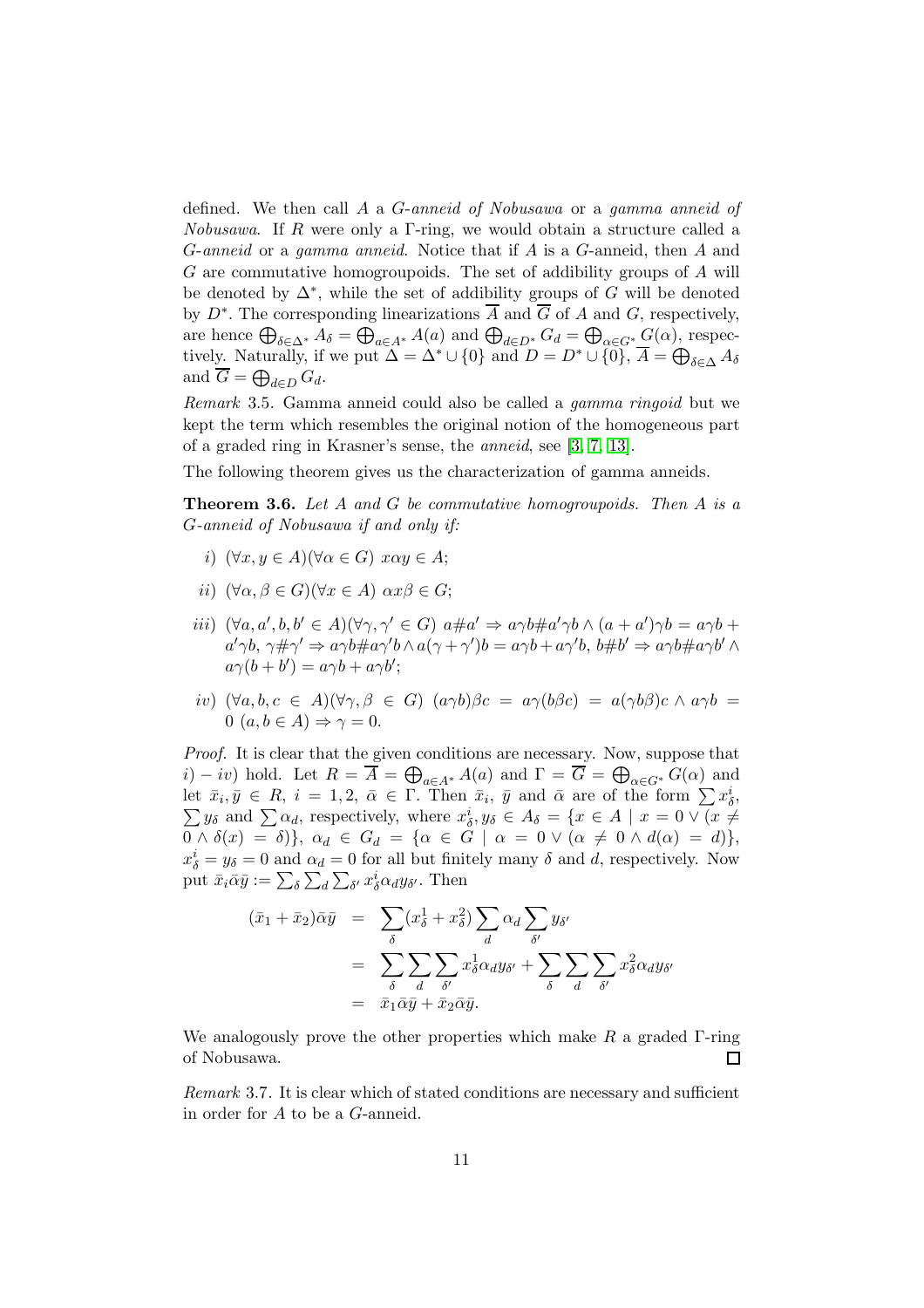defined. We then call A a G-*anneid of Nobusawa* or a *gamma anneid of Nobusawa*. If R were only a Γ-ring, we would obtain a structure called a G-*anneid* or a *gamma anneid*. Notice that if A is a G-anneid, then A and G are commutative homogroupoids. The set of addibility groups of A will be denoted by  $\Delta^*$ , while the set of addibility groups of G will be denoted by  $D^*$ . The corresponding linearizations  $\overline{A}$  and  $\overline{G}$  of A and G, respectively, are hence  $\bigoplus_{\delta \in \Delta^*} A_{\delta} = \bigoplus_{a \in A^*} A(a)$  and  $\bigoplus_{d \in D^*} G_d = \bigoplus_{\alpha \in G^*} G(\alpha)$ , respectively. Naturally, if we put  $\Delta = \Delta^* \cup \{0\}$  and  $D = D^* \cup \{0\}$ ,  $\overline{A} = \bigoplus_{\delta \in \Delta} A_{\delta}$ and  $G = \bigoplus_{d \in D} G_d$ .

*Remark* 3.5*.* Gamma anneid could also be called a *gamma ringoid* but we kept the term which resembles the original notion of the homogeneous part of a graded ring in Krasner's sense, the *anneid*, see [\[3,](#page-21-6) [7,](#page-21-7) [13\]](#page-21-5).

The following theorem gives us the characterization of gamma anneids.

Theorem 3.6. *Let* A *and* G *be commutative homogroupoids. Then* A *is a* G*-anneid of Nobusawa if and only if:*

- i)  $(\forall x, y \in A)(\forall \alpha \in G)$   $x \alpha y \in A$ ;
- ii)  $(\forall \alpha, \beta \in G)(\forall x \in A) \ \alpha x \beta \in G;$
- iii)  $(\forall a, a', b, b' \in A)(\forall \gamma, \gamma' \in G)$   $a \# a' \Rightarrow a \gamma b \# a' \gamma b \wedge (a + a') \gamma b = a \gamma b + a' \gamma b$  $a'\gamma b$ ,  $\gamma \# \gamma' \Rightarrow a\gamma b \# a\gamma' b \wedge a(\gamma + \gamma')b = a\gamma b + a\gamma' b$ ,  $b \# b' \Rightarrow a\gamma b \# a\gamma b' \wedge b'$  $a\gamma(b+b') = a\gamma b + a\gamma b';$
- iv)  $(\forall a, b, c \in A)(\forall \gamma, \beta \in G)$   $(a\gamma b)\beta c = a\gamma(b\beta c) = a(\gamma b\beta)c \wedge a\gamma b =$  $0 \ (a, b \in A) \Rightarrow \gamma = 0.$

*Proof.* It is clear that the given conditions are necessary. Now, suppose that i) – iv) hold. Let  $R = \overline{A} = \bigoplus_{a \in A^*} A(a)$  and  $\Gamma = \overline{G} = \bigoplus_{\alpha \in G^*} G(\alpha)$  and let  $\bar{x}_i, \bar{y} \in R$ ,  $i = 1, 2, \bar{\alpha} \in \Gamma$ . Then  $\bar{x}_i, \bar{y}$  and  $\bar{\alpha}$  are of the form  $\sum x_{\delta}^i$ let  $\bar{x}_i, \bar{y} \in R$ ,  $i = 1, 2, \bar{\alpha} \in \Gamma$ . Then  $\bar{x}_i, \bar{y}$  and  $\bar{\alpha}$  are of the form  $\sum x_{\delta}^i$ ,  $\sum y_{\delta}$  and  $\sum \alpha_d$ , respectively, where  $x_{\delta}^i, y_{\delta} \in A_{\delta} = \{x \in A \mid x = 0 \lor (x \neq 0) \}$  $0 \wedge \delta(x) = \delta$ ,  $\alpha_d \in G_d = \{ \alpha \in G \mid \alpha = 0 \vee (\alpha \neq 0 \wedge d(\alpha) = d) \},$  $x_{\delta}^{i} = y_{\delta} = 0$  and  $\alpha_{d} = 0$  for all but finitely many  $\delta$  and  $d$ , respectively. Now put  $\bar{x}_i \bar{\alpha} \bar{y} := \sum_{\delta} \sum_d \sum_{\delta'} x_{\delta}^i \alpha_d y_{\delta'}$ . Then

$$
(\bar{x}_1 + \bar{x}_2)\bar{\alpha}\bar{y} = \sum_{\delta} (x_{\delta}^1 + x_{\delta}^2) \sum_{d} \alpha_d \sum_{\delta'} y_{\delta'}
$$
  
= 
$$
\sum_{\delta} \sum_{d} \sum_{\delta'} x_{\delta}^1 \alpha_d y_{\delta'} + \sum_{\delta} \sum_{d} \sum_{\delta'} x_{\delta}^2 \alpha_d y_{\delta'}
$$
  
= 
$$
\bar{x}_1 \bar{\alpha} \bar{y} + \bar{x}_2 \bar{\alpha} \bar{y}.
$$

We analogously prove the other properties which make  $R$  a graded Γ-ring of Nobusawa. П

*Remark* 3.7*.* It is clear which of stated conditions are necessary and sufficient in order for A to be a G-anneid.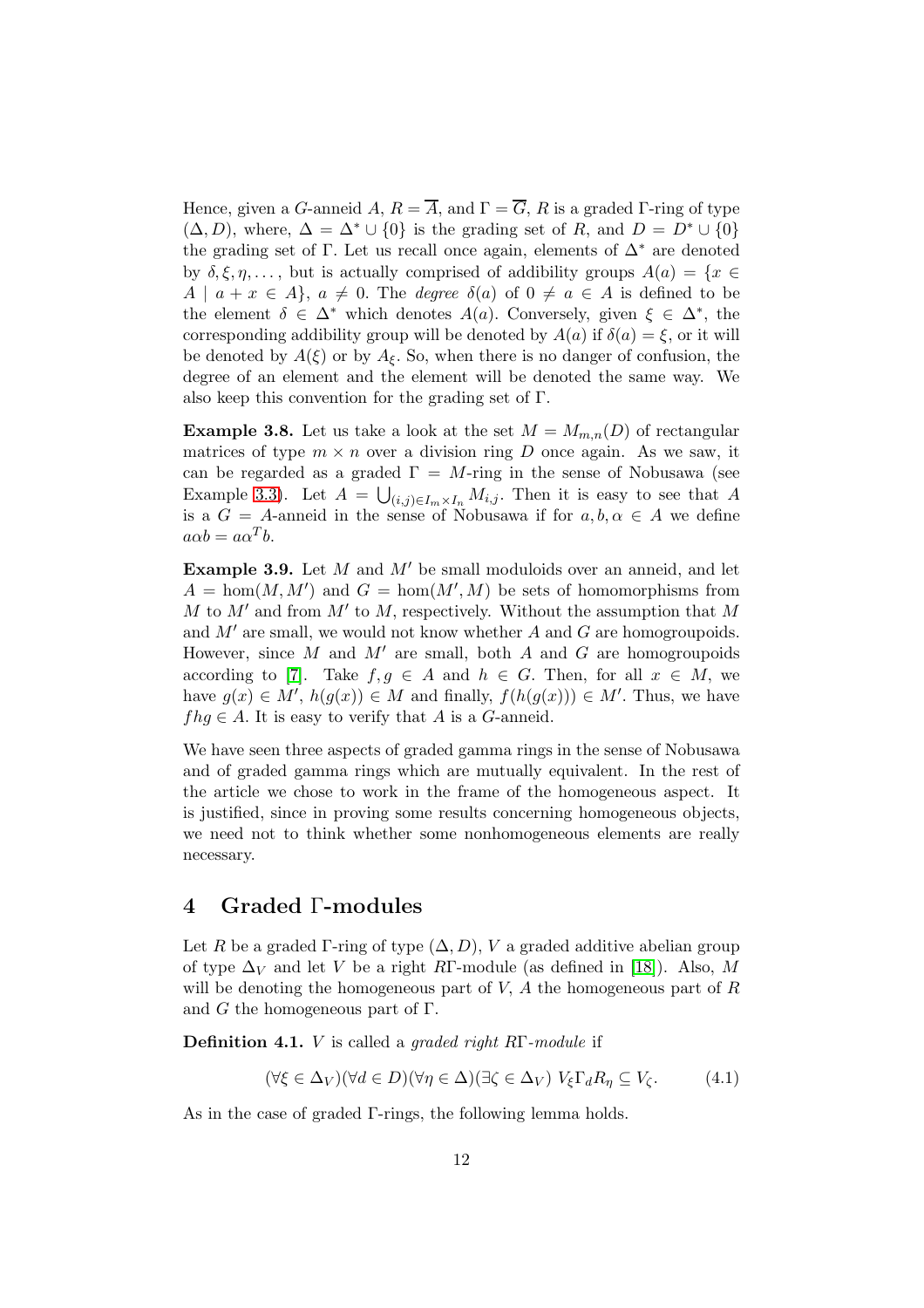Hence, given a G-anneid A,  $R = \overline{A}$ , and  $\Gamma = \overline{G}$ , R is a graded Γ-ring of type  $(\Delta, D)$ , where,  $\Delta = \Delta^* \cup \{0\}$  is the grading set of R, and  $D = D^* \cup \{0\}$ the grading set of Γ. Let us recall once again, elements of  $\Delta^*$  are denoted by  $\delta, \xi, \eta, \ldots$ , but is actually comprised of addibility groups  $A(a) = \{x \in$  $A \mid a + x \in A$ ,  $a \neq 0$ . The *degree*  $\delta(a)$  of  $0 \neq a \in A$  is defined to be the element  $\delta \in \Delta^*$  which denotes  $A(a)$ . Conversely, given  $\xi \in \Delta^*$ , the corresponding addibility group will be denoted by  $A(a)$  if  $\delta(a) = \xi$ , or it will be denoted by  $A(\xi)$  or by  $A_{\xi}$ . So, when there is no danger of confusion, the degree of an element and the element will be denoted the same way. We also keep this convention for the grading set of Γ.

**Example 3.8.** Let us take a look at the set  $M = M_{m,n}(D)$  of rectangular matrices of type  $m \times n$  over a division ring D once again. As we saw, it can be regarded as a graded  $\Gamma = M$ -ring in the sense of Nobusawa (see Example [3.3\)](#page-8-0). Let  $A = \bigcup_{(i,j)\in I_m \times I_n} M_{i,j}$ . Then it is easy to see that A is a  $G = A$ -anneid in the sense of Nobusawa if for  $a, b, \alpha \in A$  we define  $a\alpha b = a\alpha^T b.$ 

**Example 3.9.** Let  $M$  and  $M'$  be small moduloids over an anneid, and let  $A = \text{hom}(M, M')$  and  $G = \text{hom}(M', M)$  be sets of homomorphisms from  $M$  to  $M'$  and from  $M'$  to  $M$ , respectively. Without the assumption that  $M$ and  $M'$  are small, we would not know whether A and G are homogroupoids. However, since  $M$  and  $M'$  are small, both  $A$  and  $G$  are homogroupoids according to [\[7\]](#page-21-7). Take  $f, g \in A$  and  $h \in G$ . Then, for all  $x \in M$ , we have  $g(x) \in M'$ ,  $h(g(x)) \in M$  and finally,  $f(h(g(x))) \in M'$ . Thus, we have  $f h g \in A$ . It is easy to verify that A is a G-anneid.

We have seen three aspects of graded gamma rings in the sense of Nobusawa and of graded gamma rings which are mutually equivalent. In the rest of the article we chose to work in the frame of the homogeneous aspect. It is justified, since in proving some results concerning homogeneous objects, we need not to think whether some nonhomogeneous elements are really necessary.

### 4 Graded Γ-modules

Let R be a graded Γ-ring of type  $(\Delta, D)$ , V a graded additive abelian group of type  $\Delta_V$  and let V be a right RΓ-module (as defined in [\[18\]](#page-22-0)). Also, M will be denoting the homogeneous part of  $V$ ,  $A$  the homogeneous part of  $R$ and G the homogeneous part of  $\Gamma$ .

Definition 4.1. V is called a *graded right* RΓ*-module* if

<span id="page-11-0"></span>
$$
(\forall \xi \in \Delta_V)(\forall d \in D)(\forall \eta \in \Delta)(\exists \zeta \in \Delta_V) V_{\xi} \Gamma_d R_{\eta} \subseteq V_{\zeta}.
$$
 (4.1)

As in the case of graded Γ-rings, the following lemma holds.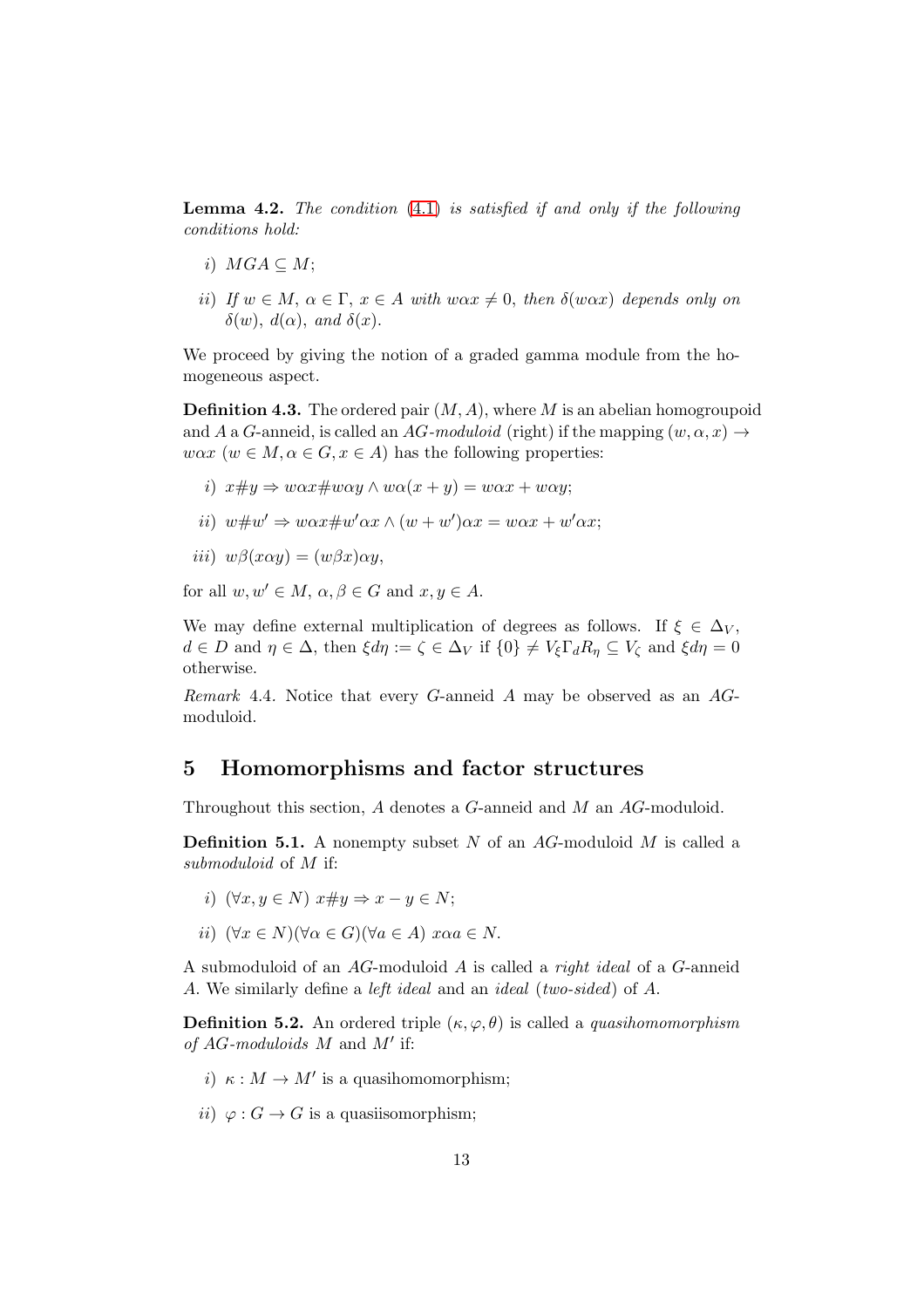Lemma 4.2. *The condition* [\(4.1\)](#page-11-0) *is satisfied if and only if the following conditions hold:*

- i)  $MGA \subset M$ ;
- ii) *If*  $w \in M$ ,  $\alpha \in \Gamma$ ,  $x \in A$  *with*  $w \alpha x \neq 0$ , *then*  $\delta(w \alpha x)$  *depends only on*  $\delta(w)$ ,  $d(\alpha)$ , and  $\delta(x)$ .

We proceed by giving the notion of a graded gamma module from the homogeneous aspect.

**Definition 4.3.** The ordered pair  $(M, A)$ , where M is an abelian homogroupoid and A a G-anneid, is called an AG-moduloid (right) if the mapping  $(w, \alpha, x) \rightarrow$  $w\alpha x$  ( $w \in M, \alpha \in G, x \in A$ ) has the following properties:

- i)  $x \# y \Rightarrow$   $w \alpha x \# w \alpha y \wedge w \alpha (x + y) = w \alpha x + w \alpha y$ ;
- ii)  $w \# w' \Rightarrow w \alpha x \# w' \alpha x \wedge (w + w') \alpha x = w \alpha x + w' \alpha x;$

$$
iii) w\beta(x\alpha y) = (w\beta x)\alpha y,
$$

for all  $w, w' \in M$ ,  $\alpha, \beta \in G$  and  $x, y \in A$ .

We may define external multiplication of degrees as follows. If  $\xi \in \Delta_V$ ,  $d \in D$  and  $\eta \in \Delta$ , then  $\xi d\eta := \zeta \in \Delta_V$  if  $\{0\} \neq V_{\xi} \Gamma_d R_{\eta} \subseteq V_{\zeta}$  and  $\xi d\eta = 0$ otherwise.

*Remark* 4.4*.* Notice that every G-anneid A may be observed as an AGmoduloid.

### 5 Homomorphisms and factor structures

Throughout this section, A denotes a G-anneid and M an AG-moduloid.

**Definition 5.1.** A nonempty subset  $N$  of an  $AG$ -moduloid  $M$  is called a *submoduloid* of M if:

- i)  $(\forall x, y \in N)$   $x \# y \Rightarrow x y \in N$ ;
- ii)  $(\forall x \in N)(\forall \alpha \in G)(\forall a \in A)$   $x \alpha a \in N$ .

A submoduloid of an AG-moduloid A is called a *right ideal* of a G-anneid A. We similarly define a *left ideal* and an *ideal* (*two-sided*) of A.

**Definition 5.2.** An ordered triple  $(\kappa, \varphi, \theta)$  is called a *quasihomomorphism of* AG*-moduloids* M and M′ if:

- i)  $\kappa : M \to M'$  is a quasihomomorphism;
- ii)  $\varphi: G \to G$  is a quasiisomorphism;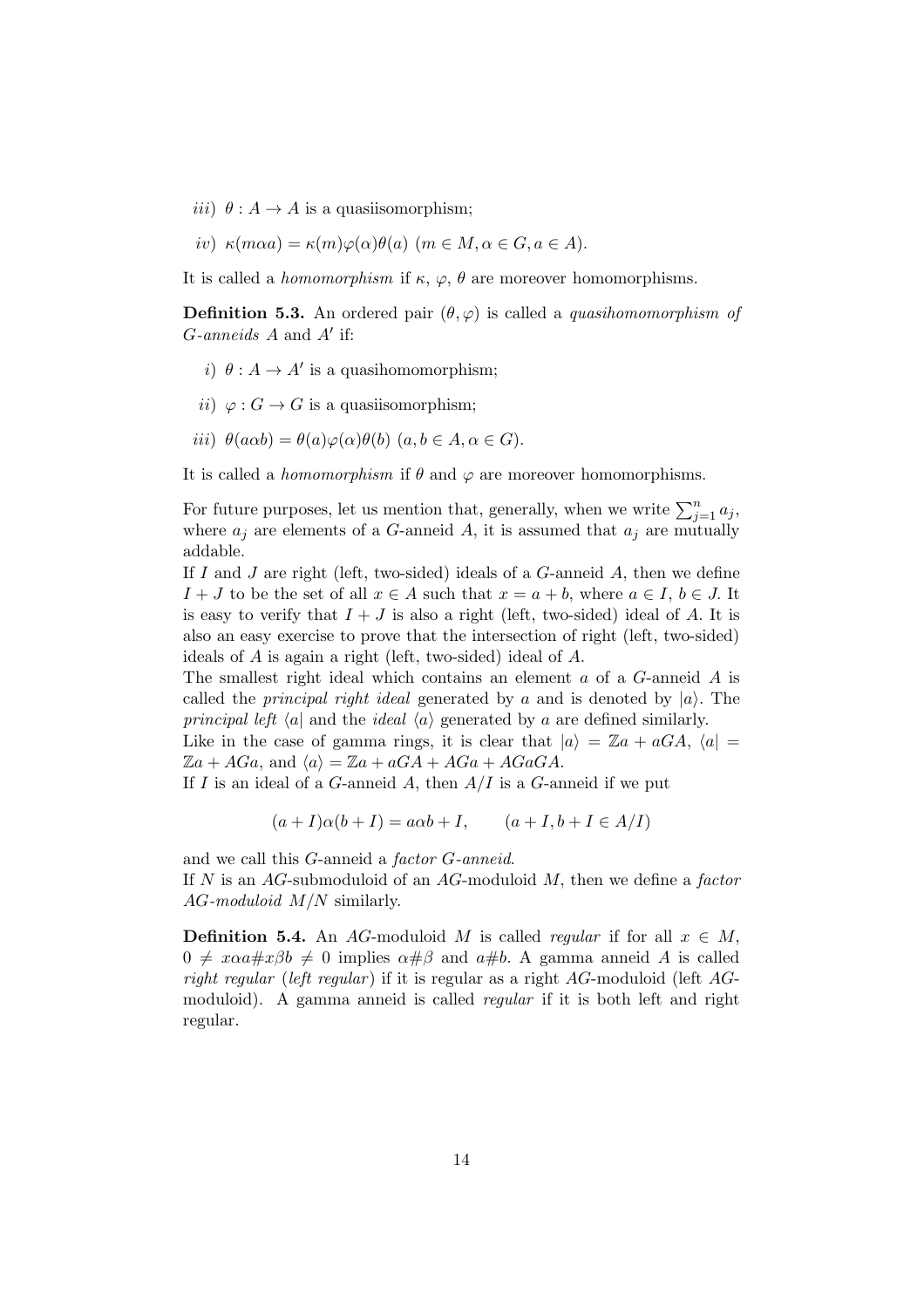iii)  $\theta: A \to A$  is a quasiisomorphism;

$$
iv) \kappa(m\alpha a) = \kappa(m)\varphi(\alpha)\theta(a) \ (m \in M, \alpha \in G, a \in A).
$$

It is called a *homomorphism* if  $\kappa$ ,  $\varphi$ ,  $\theta$  are moreover homomorphisms.

**Definition 5.3.** An ordered pair  $(\theta, \varphi)$  is called a *quasihomomorphism of* G*-anneids* A and A′ if:

- i)  $\theta: A \to A'$  is a quasihomomorphism;
- ii)  $\varphi: G \to G$  is a quasiisomorphism;
- iii)  $\theta(a\alpha b) = \theta(a)\varphi(\alpha)\theta(b)$   $(a, b \in A, \alpha \in G)$ .

It is called a *homomorphism* if  $\theta$  and  $\varphi$  are moreover homomorphisms.

For future purposes, let us mention that, generally, when we write  $\sum_{j=1}^{n} a_j$ , where  $a_j$  are elements of a G-anneid A, it is assumed that  $a_j$  are mutually addable.

If I and J are right (left, two-sided) ideals of a  $G$ -anneid  $A$ , then we define  $I + J$  to be the set of all  $x \in A$  such that  $x = a + b$ , where  $a \in I$ ,  $b \in J$ . It is easy to verify that  $I + J$  is also a right (left, two-sided) ideal of A. It is also an easy exercise to prove that the intersection of right (left, two-sided) ideals of A is again a right (left, two-sided) ideal of A.

The smallest right ideal which contains an element a of a G-anneid A is called the *principal right ideal* generated by a and is denoted by  $|a\rangle$ . The *principal left*  $\langle a |$  and the *ideal*  $\langle a \rangle$  generated by a are defined similarly.

Like in the case of gamma rings, it is clear that  $|a\rangle = \mathbb{Z}a + aGA$ ,  $\langle a| =$  $\mathbb{Z}a + AGa$ , and  $\langle a \rangle = \mathbb{Z}a + aGA + AGa + AGaGA$ .

If I is an ideal of a G-anneid A, then  $A/I$  is a G-anneid if we put

$$
(a+I)\alpha(b+I) = a\alpha b + I, \qquad (a+I, b+I \in A/I)
$$

and we call this G-anneid a *factor* G*-anneid*.

If N is an AG-submoduloid of an AG-moduloid M, then we define a *factor* AG*-moduloid* M/N similarly.

**Definition 5.4.** An AG-moduloid M is called *regular* if for all  $x \in M$ ,  $0 \neq x\alpha a \neq x\beta b \neq 0$  implies  $\alpha \neq \beta$  and  $a \neq b$ . A gamma anneid A is called *right regular* (*left regular* ) if it is regular as a right AG-moduloid (left AGmoduloid). A gamma anneid is called *regular* if it is both left and right regular.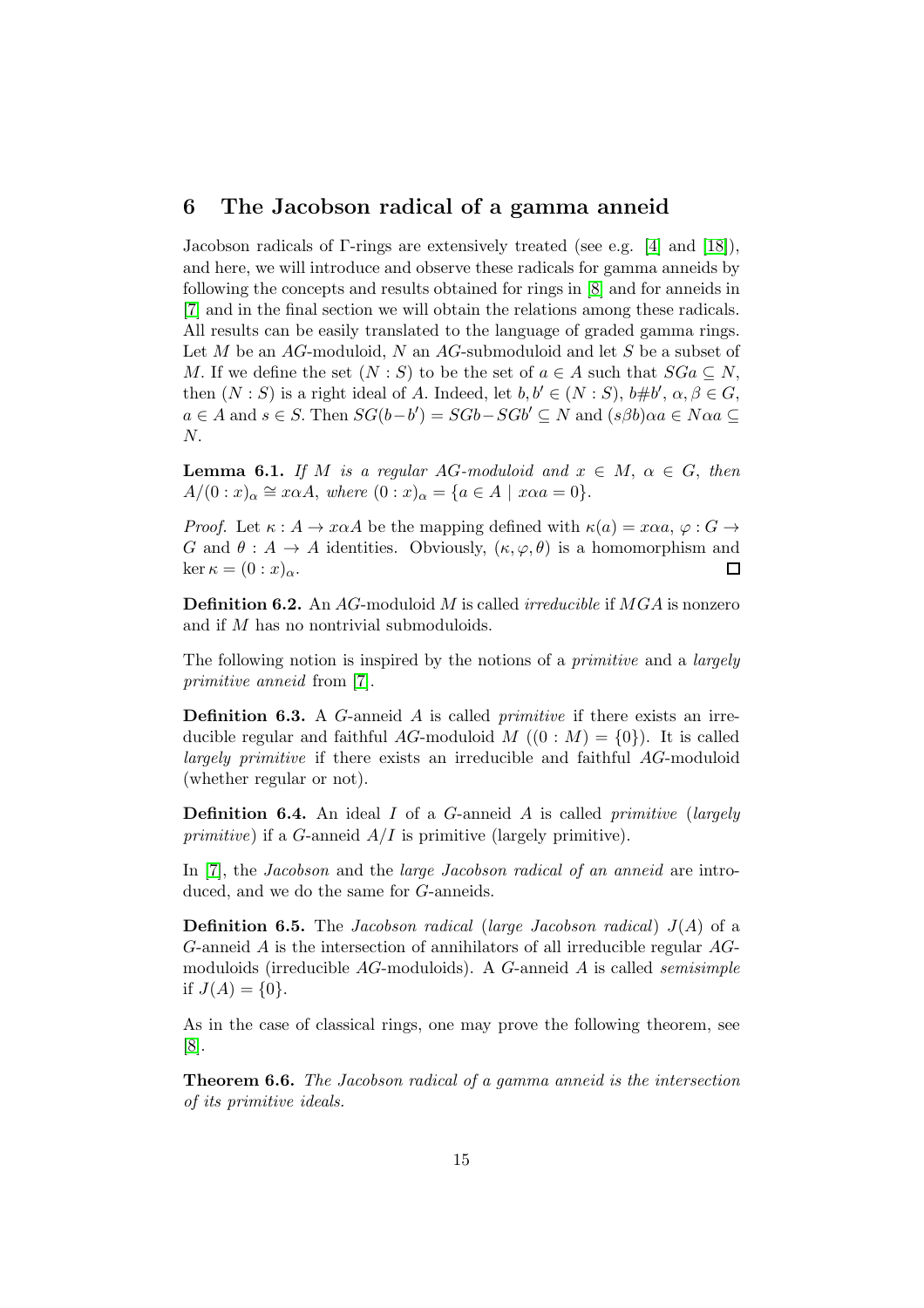## 6 The Jacobson radical of a gamma anneid

Jacobson radicals of Γ-rings are extensively treated (see e.g. [\[4\]](#page-21-1) and [\[18\]](#page-22-0)), and here, we will introduce and observe these radicals for gamma anneids by following the concepts and results obtained for rings in [\[8\]](#page-21-13) and for anneids in [\[7\]](#page-21-7) and in the final section we will obtain the relations among these radicals. All results can be easily translated to the language of graded gamma rings. Let M be an AG-moduloid, N an AG-submoduloid and let S be a subset of M. If we define the set  $(N : S)$  to be the set of  $a \in A$  such that  $SGa \subseteq N$ , then  $(N : S)$  is a right ideal of A. Indeed, let  $b, b' \in (N : S)$ ,  $b#b', \alpha, \beta \in G$ ,  $a \in A$  and  $s \in S$ . Then  $SG(b-b') = SGb - SGb' \subseteq N$  and  $(s\beta b)\alpha a \in N\alpha a \subseteq$ N.

**Lemma 6.1.** *If* M *is a regular* AG-moduloid and  $x \in M$ ,  $\alpha \in G$ , then  $A/(0:x)_{\alpha} \cong x\alpha A$ , where  $(0:x)_{\alpha} = \{a \in A \mid x\alpha a = 0\}.$ 

*Proof.* Let  $\kappa : A \to x \alpha A$  be the mapping defined with  $\kappa(a) = x \alpha a, \varphi : G \to$ G and  $\theta: A \to A$  identities. Obviously,  $(\kappa, \varphi, \theta)$  is a homomorphism and  $\ker \kappa = (0:x)_{\alpha}.$  $\Box$ 

Definition 6.2. An AG-moduloid M is called *irreducible* if MGA is nonzero and if M has no nontrivial submoduloids.

The following notion is inspired by the notions of a *primitive* and a *largely primitive anneid* from [\[7\]](#page-21-7).

Definition 6.3. A G-anneid A is called *primitive* if there exists an irreducible regular and faithful AG-moduloid M  $((0 : M) = \{0\})$ . It is called *largely primitive* if there exists an irreducible and faithful AG-moduloid (whether regular or not).

Definition 6.4. An ideal I of a G-anneid A is called *primitive* (*largely primitive*) if a G-anneid A/I is primitive (largely primitive).

In [\[7\]](#page-21-7), the *Jacobson* and the *large Jacobson radical of an anneid* are introduced, and we do the same for G-anneids.

Definition 6.5. The *Jacobson radical* (*large Jacobson radical*) J(A) of a G-anneid  $A$  is the intersection of annihilators of all irreducible regular  $AG$ moduloids (irreducible AG-moduloids). A G-anneid A is called *semisimple* if  $J(A) = \{0\}.$ 

As in the case of classical rings, one may prove the following theorem, see [\[8\]](#page-21-13).

Theorem 6.6. *The Jacobson radical of a gamma anneid is the intersection of its primitive ideals.*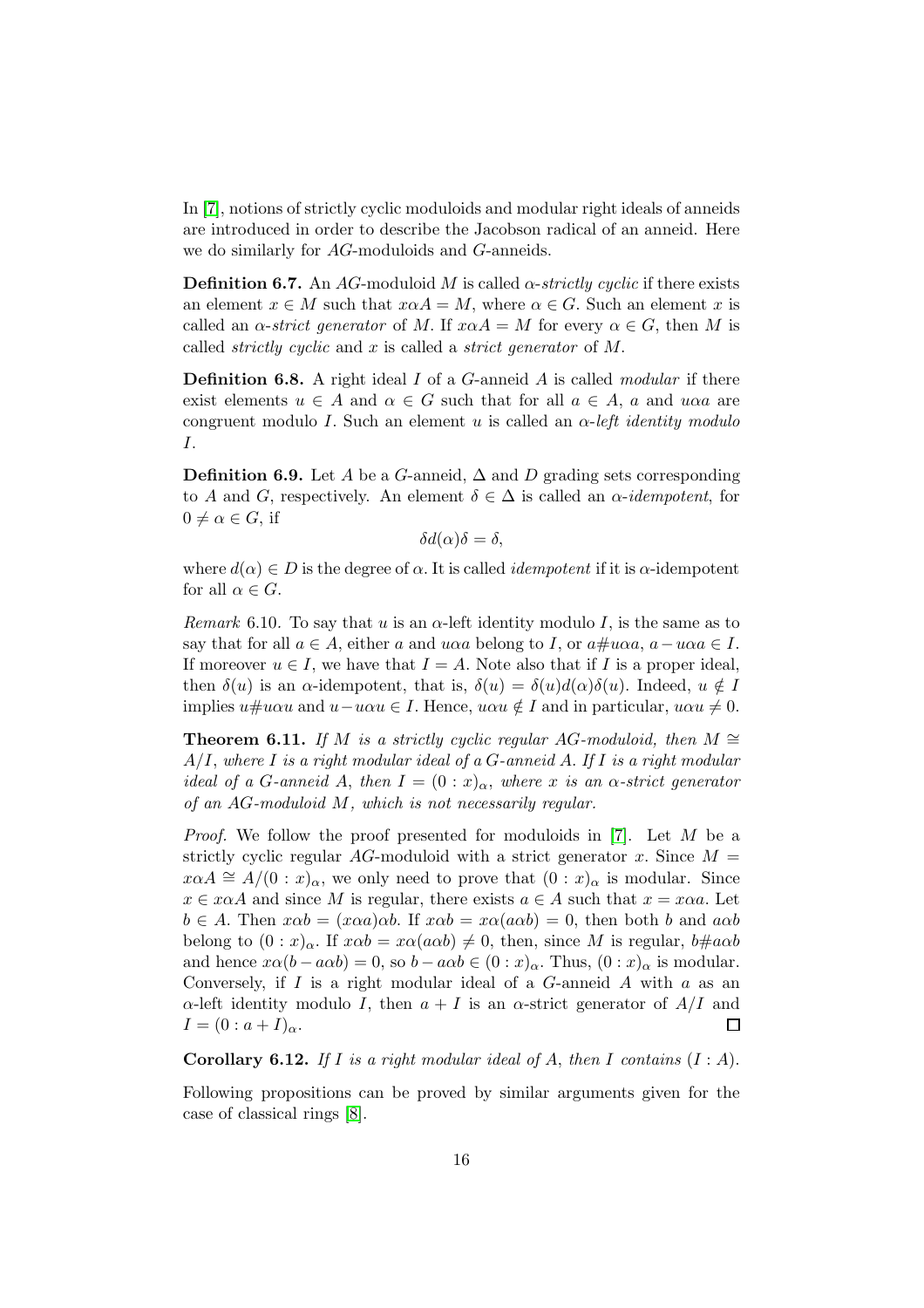In [\[7\]](#page-21-7), notions of strictly cyclic moduloids and modular right ideals of anneids are introduced in order to describe the Jacobson radical of an anneid. Here we do similarly for AG-moduloids and G-anneids.

**Definition 6.7.** An AG-moduloid M is called  $\alpha$ -*strictly cyclic* if there exists an element  $x \in M$  such that  $x \alpha A = M$ , where  $\alpha \in G$ . Such an element x is called an  $\alpha$ -*strict generator* of M. If  $x \alpha A = M$  for every  $\alpha \in G$ , then M is called *strictly cyclic* and x is called a *strict generator* of M.

Definition 6.8. A right ideal I of a G-anneid A is called *modular* if there exist elements  $u \in A$  and  $\alpha \in G$  such that for all  $a \in A$ , a and u $\alpha a$  are congruent modulo I. Such an element u is called an α-*left identity modulo* I.

**Definition 6.9.** Let A be a G-anneid,  $\Delta$  and D grading sets corresponding to A and G, respectively. An element  $\delta \in \Delta$  is called an  $\alpha$ -*idempotent*, for  $0 \neq \alpha \in G$ , if

δd(α)δ = δ,

where  $d(\alpha) \in D$  is the degree of  $\alpha$ . It is called *idempotent* if it is  $\alpha$ -idempotent for all  $\alpha \in G$ .

<span id="page-15-0"></span>*Remark* 6.10. To say that u is an  $\alpha$ -left identity modulo I, is the same as to say that for all  $a \in A$ , either a and u $\alpha a$  belong to I, or  $a \neq u \alpha a$ ,  $a-u \alpha a \in I$ . If moreover  $u \in I$ , we have that  $I = A$ . Note also that if I is a proper ideal, then  $\delta(u)$  is an  $\alpha$ -idempotent, that is,  $\delta(u) = \delta(u)d(\alpha)\delta(u)$ . Indeed,  $u \notin I$ implies  $u \# u \alpha u$  and  $u - u \alpha u \in I$ . Hence,  $u \alpha u \notin I$  and in particular,  $u \alpha u \neq 0$ .

**Theorem 6.11.** *If* M *is a strictly cyclic regular AG-moduloid, then*  $M \cong$ A/I, *where* I *is a right modular ideal of a* G*-anneid* A. *If* I *is a right modular ideal of a G-anneid A, then*  $I = (0 : x)_{\alpha}$ , where x *is an*  $\alpha$ *-strict generator of an* AG*-moduloid* M*, which is not necessarily regular.*

*Proof.* We follow the proof presented for moduloids in [\[7\]](#page-21-7). Let M be a strictly cyclic regular AG-moduloid with a strict generator x. Since  $M =$  $x\alpha A \cong A/(0:x)_{\alpha}$ , we only need to prove that  $(0:x)_{\alpha}$  is modular. Since  $x \in x \alpha A$  and since M is regular, there exists  $a \in A$  such that  $x = x \alpha a$ . Let  $b \in A$ . Then  $x\alpha b = (x\alpha a)\alpha b$ . If  $x\alpha b = x\alpha (a\alpha b) = 0$ , then both b and  $a\alpha b$ belong to  $(0 : x)_{\alpha}$ . If  $x\alpha b = x\alpha (a\alpha b) \neq 0$ , then, since M is regular,  $b\#a\alpha b$ and hence  $x\alpha(b - a\alpha b) = 0$ , so  $b - a\alpha b \in (0 : x)_{\alpha}$ . Thus,  $(0 : x)_{\alpha}$  is modular. Conversely, if  $I$  is a right modular ideal of a  $G$ -anneid  $A$  with  $a$  as an  $\alpha$ -left identity modulo I, then  $a + I$  is an  $\alpha$ -strict generator of  $A/I$  and  $I = (0: a+I)_{\alpha}.$  $\Box$ 

Corollary 6.12. *If* I *is a right modular ideal of* A, *then* I *contains* (I : A).

Following propositions can be proved by similar arguments given for the case of classical rings [\[8\]](#page-21-13).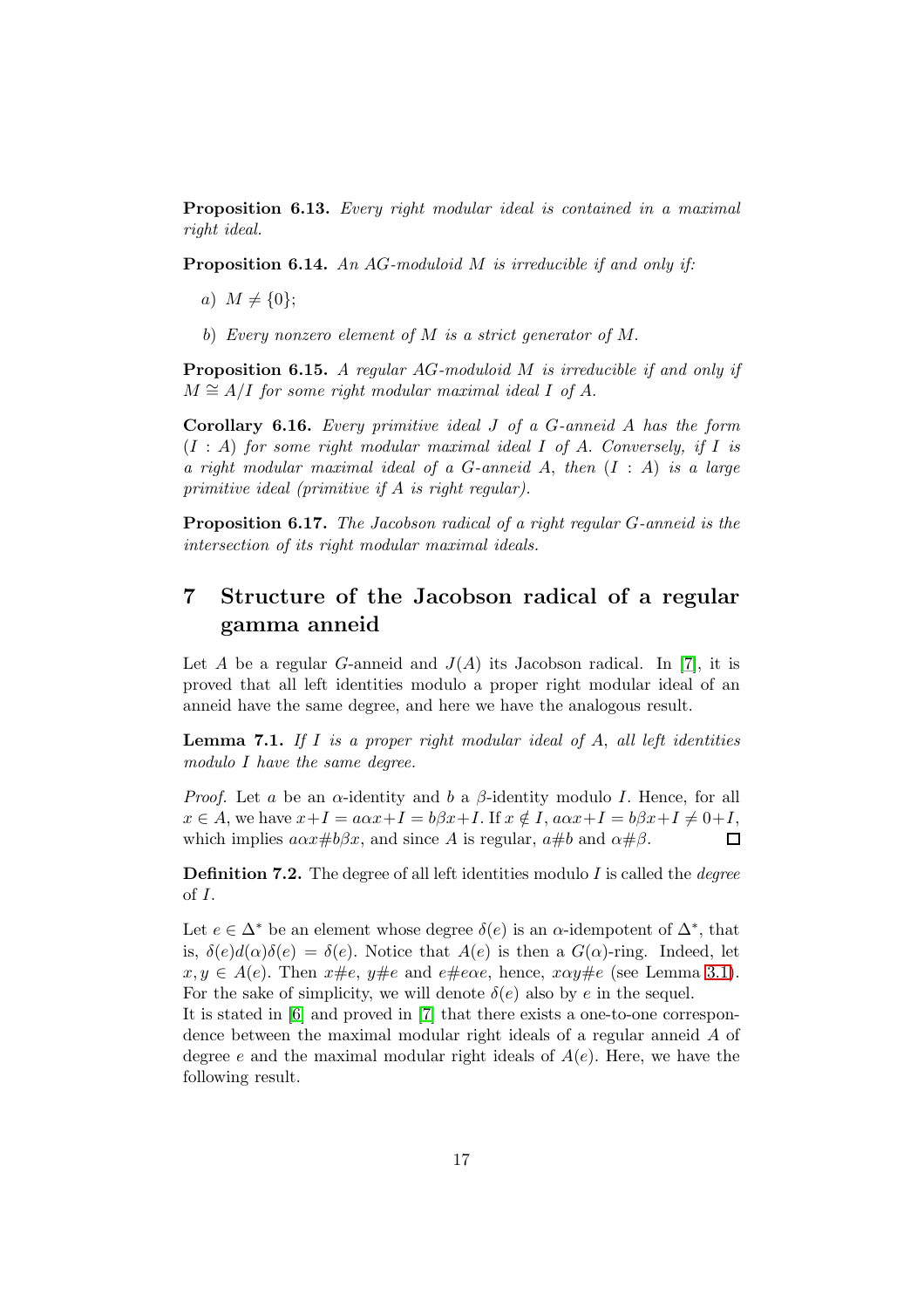Proposition 6.13. *Every right modular ideal is contained in a maximal right ideal.*

Proposition 6.14. *An* AG*-moduloid* M *is irreducible if and only if:*

- a)  $M \neq \{0\};$
- b) *Every nonzero element of* M *is a strict generator of* M.

Proposition 6.15. *A regular* AG*-moduloid* M *is irreducible if and only if*  $M \cong A/I$  *for some right modular maximal ideal I of* A.

Corollary 6.16. *Every primitive ideal* J *of a* G*-anneid* A *has the form* (I : A) *for some right modular maximal ideal* I *of* A. *Conversely, if* I *is a right modular maximal ideal of a* G*-anneid* A, *then* (I : A) *is a large primitive ideal (primitive if* A *is right regular).*

Proposition 6.17. *The Jacobson radical of a right regular* G*-anneid is the intersection of its right modular maximal ideals.*

# 7 Structure of the Jacobson radical of a regular gamma anneid

Let A be a regular G-anneid and  $J(A)$  its Jacobson radical. In [\[7\]](#page-21-7), it is proved that all left identities modulo a proper right modular ideal of an anneid have the same degree, and here we have the analogous result.

Lemma 7.1. *If* I *is a proper right modular ideal of* A, *all left identities modulo* I *have the same degree.*

*Proof.* Let a be an  $\alpha$ -identity and b a  $\beta$ -identity modulo I. Hence, for all  $x \in A$ , we have  $x+I = a\alpha x+I = b\beta x+I$ . If  $x \notin I$ ,  $a\alpha x+I = b\beta x+I \neq 0+I$ , which implies  $a\alpha x \# b\beta x$ , and since A is regular,  $a\# b$  and  $\alpha \# \beta$ .  $\Box$ 

Definition 7.2. The degree of all left identities modulo I is called the *degree* of I.

Let  $e \in \Delta^*$  be an element whose degree  $\delta(e)$  is an  $\alpha$ -idempotent of  $\Delta^*$ , that is,  $\delta(e)d(\alpha)\delta(e) = \delta(e)$ . Notice that  $A(e)$  is then a  $G(\alpha)$ -ring. Indeed, let  $x, y \in A(e)$ . Then  $x \#e$ ,  $y \#e$  and  $e \#e \alpha e$ , hence,  $x \alpha y \#e$  (see Lemma [3.1\)](#page-7-1). For the sake of simplicity, we will denote  $\delta(e)$  also by e in the sequel.

It is stated in [\[6\]](#page-21-14) and proved in [\[7\]](#page-21-7) that there exists a one-to-one correspondence between the maximal modular right ideals of a regular anneid A of degree e and the maximal modular right ideals of  $A(e)$ . Here, we have the following result.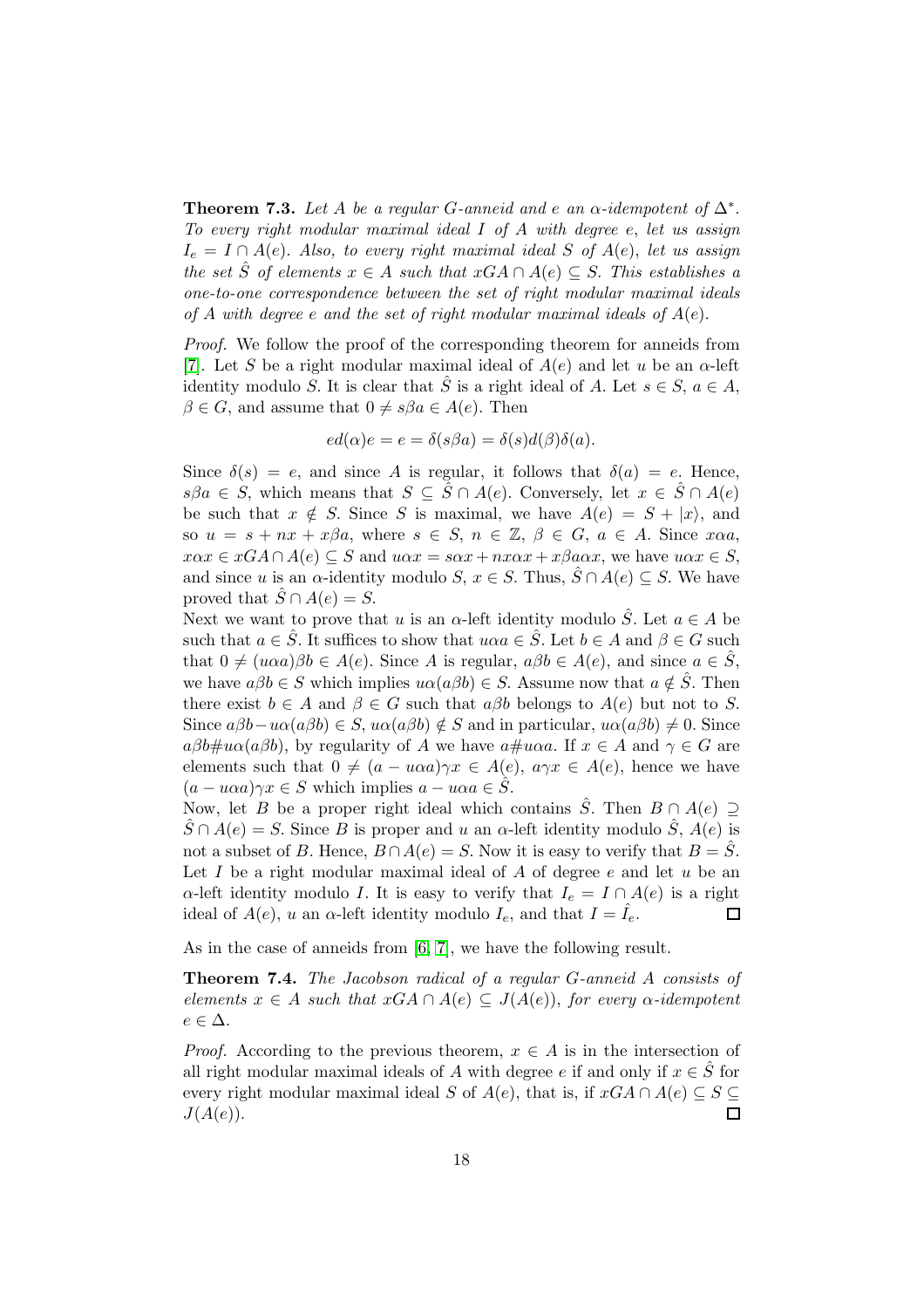<span id="page-17-0"></span>**Theorem 7.3.** Let A be a regular G-anneid and e an  $\alpha$ -idempotent of  $\Delta^*$ . *To every right modular maximal ideal* I *of* A *with degree* e, *let us assign*  $I_e = I \cap A(e)$ . *Also, to every right maximal ideal* S *of*  $A(e)$ *, let us assign the set*  $\hat{S}$  *of elements*  $x \in A$  *such that*  $xGA \cap A(e) \subseteq S$ *. This establishes a one-to-one correspondence between the set of right modular maximal ideals of* A *with degree* e *and the set of right modular maximal ideals of* A(e).

*Proof.* We follow the proof of the corresponding theorem for anneids from [\[7\]](#page-21-7). Let S be a right modular maximal ideal of  $A(e)$  and let u be an  $\alpha$ -left identity modulo S. It is clear that  $\hat{S}$  is a right ideal of A. Let  $s \in S$ ,  $a \in A$ ,  $\beta \in G$ , and assume that  $0 \neq s\beta a \in A(e)$ . Then

$$
ed(\alpha)e = e = \delta(s\beta a) = \delta(s)d(\beta)\delta(a).
$$

Since  $\delta(s) = e$ , and since A is regular, it follows that  $\delta(a) = e$ . Hence,  $s\beta a \in S$ , which means that  $S \subseteq \hat{S} \cap A(e)$ . Conversely, let  $x \in \hat{S} \cap A(e)$ be such that  $x \notin S$ . Since S is maximal, we have  $A(e) = S + |x\rangle$ , and so  $u = s + nx + x\beta a$ , where  $s \in S$ ,  $n \in \mathbb{Z}$ ,  $\beta \in G$ ,  $a \in A$ . Since  $x\alpha a$ ,  $x\alpha x \in xG A \cap A(e) \subseteq S$  and  $u\alpha x = s\alpha x + n x\alpha x + x\beta a\alpha x$ , we have  $u\alpha x \in S$ , and since u is an  $\alpha$ -identity modulo S,  $x \in S$ . Thus,  $\hat{S} \cap A(e) \subseteq S$ . We have proved that  $\hat{S} \cap A(e) = S$ .

Next we want to prove that u is an  $\alpha$ -left identity modulo  $\hat{S}$ . Let  $a \in A$  be such that  $a \in \hat{S}$ . It suffices to show that  $u\alpha a \in \hat{S}$ . Let  $b \in A$  and  $\beta \in G$  such that  $0 \neq (u\alpha a)\beta b \in A(e)$ . Since A is regular,  $a\beta b \in A(e)$ , and since  $a \in \hat{S}$ , we have  $a\beta b \in S$  which implies  $u\alpha(a\beta b) \in S$ . Assume now that  $a \notin \hat{S}$ . Then there exist  $b \in A$  and  $\beta \in G$  such that  $a\beta b$  belongs to  $A(e)$  but not to S. Since  $a\beta b - u\alpha(a\beta b) \in S$ ,  $u\alpha(a\beta b) \notin S$  and in particular,  $u\alpha(a\beta b) \neq 0$ . Since  $a\beta b \# u\alpha(a\beta b)$ , by regularity of A we have  $a\# u\alpha a$ . If  $x \in A$  and  $\gamma \in G$  are elements such that  $0 \neq (a - u\alpha a)\gamma x \in A(e), a\gamma x \in A(e)$ , hence we have  $(a - u\alpha a)\gamma x \in S$  which implies  $a - u\alpha a \in \hat{S}$ .

Now, let B be a proper right ideal which contains  $\hat{S}$ . Then  $B \cap A(e) \supset$  $\hat{S} \cap A(e) = S$ . Since B is proper and u an  $\alpha$ -left identity modulo  $\hat{S}$ ,  $A(e)$  is not a subset of B. Hence,  $B \cap A(e) = S$ . Now it is easy to verify that  $B = \hat{S}$ . Let I be a right modular maximal ideal of A of degree  $e$  and let  $u$  be an  $\alpha$ -left identity modulo I. It is easy to verify that  $I_e = I \cap A(e)$  is a right ideal of  $A(e)$ , u an  $\alpha$ -left identity modulo  $I_e$ , and that  $I = \hat{I}_e$ .  $\Box$ 

As in the case of anneids from [\[6,](#page-21-14) [7\]](#page-21-7), we have the following result.

Theorem 7.4. *The Jacobson radical of a regular* G*-anneid* A *consists of elements*  $x \in A$  *such that*  $xGA \cap A(e) \subseteq J(A(e))$ , *for every*  $\alpha$ *-idempotent*  $e \in \Delta$ .

*Proof.* According to the previous theorem,  $x \in A$  is in the intersection of all right modular maximal ideals of A with degree e if and only if  $x \in S$  for every right modular maximal ideal S of  $A(e)$ , that is, if  $xGA \cap A(e) \subseteq S \subseteq$  $\Box$  $J(A(e))$ .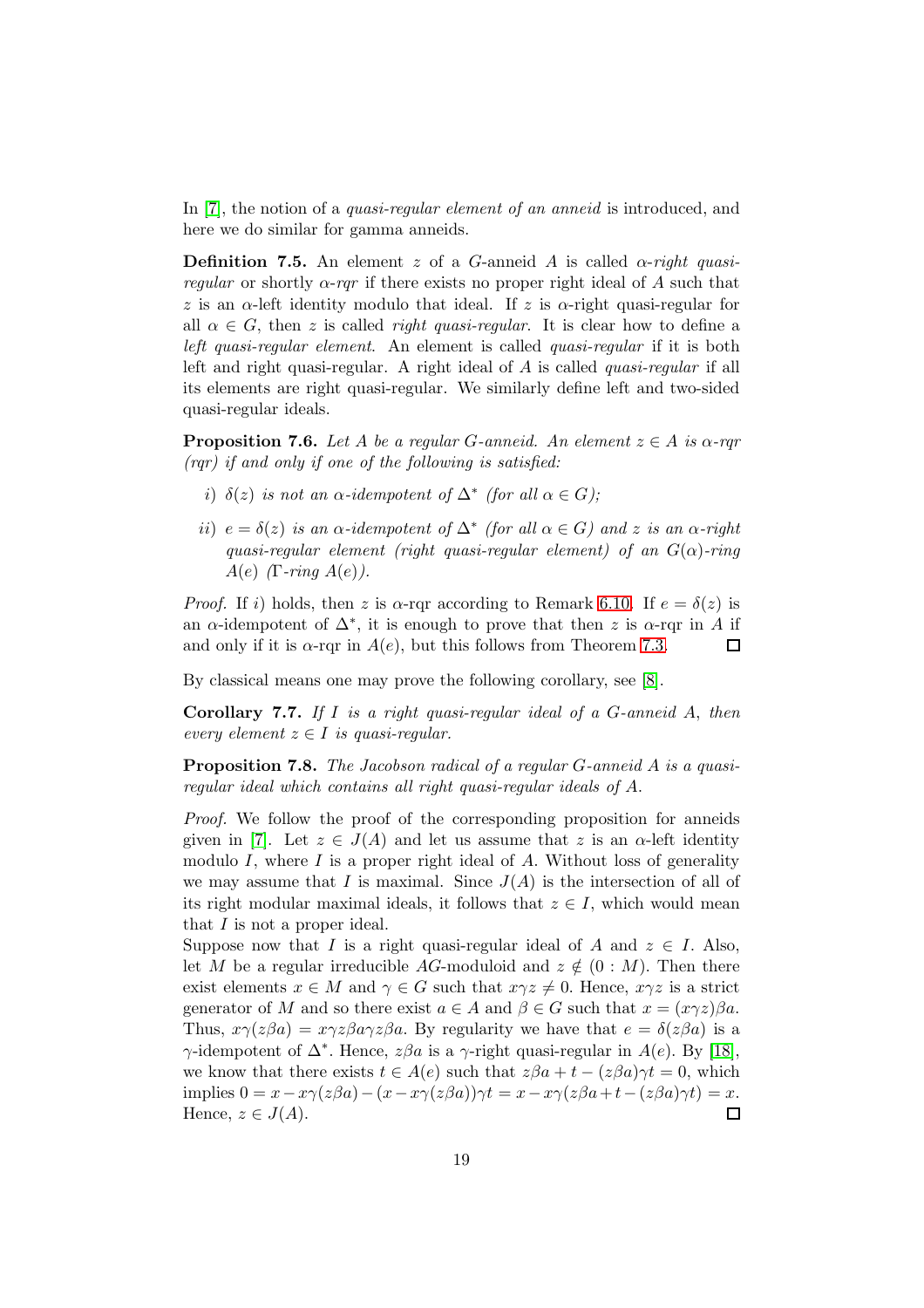In [\[7\]](#page-21-7), the notion of a *quasi-regular element of an anneid* is introduced, and here we do similar for gamma anneids.

**Definition 7.5.** An element z of a G-anneid A is called  $\alpha$ -right quasi*regular* or shortly  $\alpha$ -*rgr* if there exists no proper right ideal of A such that z is an  $\alpha$ -left identity modulo that ideal. If z is  $\alpha$ -right quasi-regular for all  $\alpha \in G$ , then z is called *right quasi-regular*. It is clear how to define a *left quasi-regular element*. An element is called *quasi-regular* if it is both left and right quasi-regular. A right ideal of A is called *quasi-regular* if all its elements are right quasi-regular. We similarly define left and two-sided quasi-regular ideals.

<span id="page-18-0"></span>**Proposition 7.6.** *Let* A *be a regular G*-anneid. An element  $z \in A$  *is*  $\alpha$ -rqr *(rqr) if and only if one of the following is satisfied:*

- *i*)  $\delta(z)$  *is not an*  $\alpha$ -*idempotent of*  $\Delta^*$  *(for all*  $\alpha \in G$ *)*;
- $i(i)$   $e = \delta(z)$  *is an*  $\alpha$ *-idempotent of*  $\Delta^*$  *(for all*  $\alpha \in G$ *)* and z *is an*  $\alpha$ *-right quasi-regular element (right quasi-regular element) of an* G(α)*-ring*  $A(e)$   $(\Gamma$ *-ring*  $A(e)$ *)*.

*Proof.* If i) holds, then z is  $\alpha$ -rqr according to Remark [6.10.](#page-15-0) If  $e = \delta(z)$  is an  $\alpha$ -idempotent of  $\Delta^*$ , it is enough to prove that then z is  $\alpha$ -rqr in A if and only if it is  $\alpha$ -rqr in  $A(e)$ , but this follows from Theorem [7.3.](#page-17-0) □

By classical means one may prove the following corollary, see [\[8\]](#page-21-13).

Corollary 7.7. *If* I *is a right quasi-regular ideal of a* G*-anneid* A, *then every element*  $z \in I$  *is quasi-regular.* 

Proposition 7.8. *The Jacobson radical of a regular* G*-anneid* A *is a quasiregular ideal which contains all right quasi-regular ideals of* A.

*Proof.* We follow the proof of the corresponding proposition for anneids given in [\[7\]](#page-21-7). Let  $z \in J(A)$  and let us assume that z is an  $\alpha$ -left identity modulo  $I$ , where  $I$  is a proper right ideal of  $A$ . Without loss of generality we may assume that I is maximal. Since  $J(A)$  is the intersection of all of its right modular maximal ideals, it follows that  $z \in I$ , which would mean that I is not a proper ideal.

Suppose now that I is a right quasi-regular ideal of A and  $z \in I$ . Also, let M be a regular irreducible AG-moduloid and  $z \notin (0 : M)$ . Then there exist elements  $x \in M$  and  $\gamma \in G$  such that  $x\gamma z \neq 0$ . Hence,  $x\gamma z$  is a strict generator of M and so there exist  $a \in A$  and  $\beta \in G$  such that  $x = (x\gamma z)\beta a$ . Thus,  $x\gamma(z\beta a) = x\gamma z\beta a\gamma z\beta a$ . By regularity we have that  $e = \delta(z\beta a)$  is a  $\gamma$ -idempotent of  $\Delta^*$ . Hence,  $z\beta a$  is a  $\gamma$ -right quasi-regular in  $A(e)$ . By [\[18\]](#page-22-0), we know that there exists  $t \in A(e)$  such that  $z\beta a + t - (z\beta a)\gamma t = 0$ , which implies  $0 = x - x\gamma(z\beta a) - (x - x\gamma(z\beta a))\gamma t = x - x\gamma(z\beta a + t - (z\beta a)\gamma t) = x.$ Hence,  $z \in J(A)$ .  $\Box$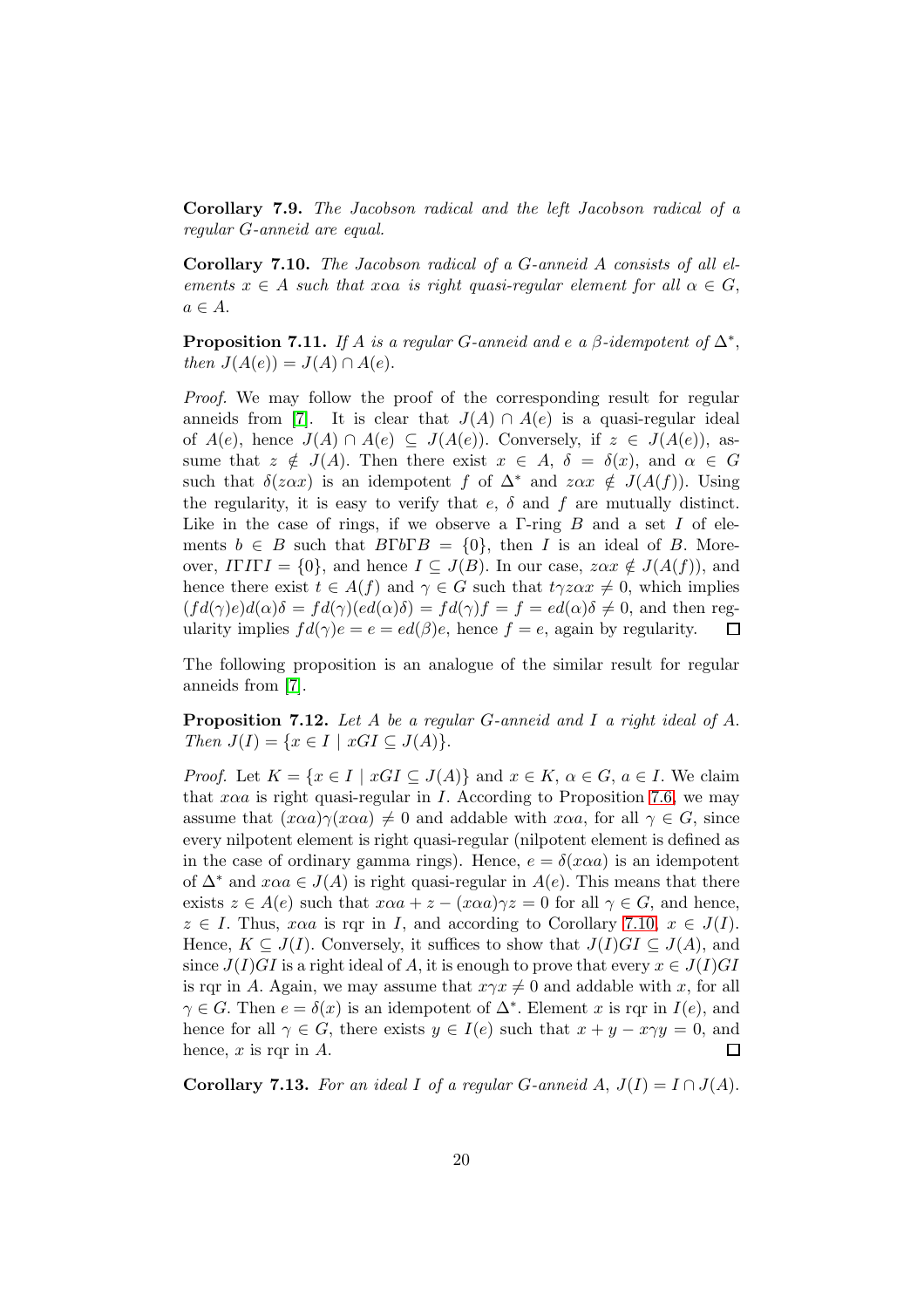Corollary 7.9. *The Jacobson radical and the left Jacobson radical of a regular* G*-anneid are equal.*

<span id="page-19-0"></span>Corollary 7.10. *The Jacobson radical of a* G*-anneid* A *consists of all elements*  $x \in A$  *such that*  $x\alpha a$  *is right quasi-regular element for all*  $\alpha \in G$ ,  $a \in A$ .

**Proposition 7.11.** *If* A *is a regular G*-anneid and e a  $\beta$ -idempotent of  $\Delta^*$ , *then*  $J(A(e)) = J(A) \cap A(e)$ .

*Proof.* We may follow the proof of the corresponding result for regular anneids from [\[7\]](#page-21-7). It is clear that  $J(A) \cap A(e)$  is a quasi-regular ideal of  $A(e)$ , hence  $J(A) \cap A(e) \subseteq J(A(e))$ . Conversely, if  $z \in J(A(e))$ , assume that  $z \notin J(A)$ . Then there exist  $x \in A$ ,  $\delta = \delta(x)$ , and  $\alpha \in G$ such that  $\delta(z\alpha x)$  is an idempotent f of  $\Delta^*$  and  $z\alpha x \notin J(A(f))$ . Using the regularity, it is easy to verify that  $e, \delta$  and  $f$  are mutually distinct. Like in the case of rings, if we observe a  $\Gamma$ -ring  $B$  and a set  $I$  of elements  $b \in B$  such that  $B\Gamma b\Gamma B = \{0\}$ , then I is an ideal of B. Moreover,  $I\Gamma I\Gamma I = \{0\}$ , and hence  $I \subseteq J(B)$ . In our case,  $z\alpha x \notin J(A(f))$ , and hence there exist  $t \in A(f)$  and  $\gamma \in G$  such that  $t\gamma z \alpha x \neq 0$ , which implies  $(f d(\gamma)e) d(\alpha) \delta = f d(\gamma) (ed(\alpha) \delta) = f d(\gamma) f = f = ed(\alpha) \delta \neq 0$ , and then regularity implies  $fd(\gamma)e = e = ed(\beta)e$ , hence  $f = e$ , again by regularity.  $\Box$ 

The following proposition is an analogue of the similar result for regular anneids from [\[7\]](#page-21-7).

Proposition 7.12. *Let* A *be a regular* G*-anneid and* I *a right ideal of* A. *Then*  $J(I) = \{x \in I \mid xGI \subseteq J(A)\}.$ 

*Proof.* Let  $K = \{x \in I \mid xGI \subseteq J(A)\}\$ and  $x \in K$ ,  $\alpha \in G$ ,  $a \in I$ . We claim that  $x\alpha a$  is right quasi-regular in I. According to Proposition [7.6,](#page-18-0) we may assume that  $(x\alpha a)\gamma(x\alpha a) \neq 0$  and addable with  $x\alpha a$ , for all  $\gamma \in G$ , since every nilpotent element is right quasi-regular (nilpotent element is defined as in the case of ordinary gamma rings). Hence,  $e = \delta(x\alpha a)$  is an idempotent of  $\Delta^*$  and  $x\alpha a \in J(A)$  is right quasi-regular in  $A(e)$ . This means that there exists  $z \in A(e)$  such that  $x\alpha a + z - (x\alpha a)\gamma z = 0$  for all  $\gamma \in G$ , and hence,  $z \in I$ . Thus,  $x\alpha a$  is rqr in I, and according to Corollary [7.10,](#page-19-0)  $x \in J(I)$ . Hence,  $K \subseteq J(I)$ . Conversely, it suffices to show that  $J(I)GI \subseteq J(A)$ , and since  $J(I)GI$  is a right ideal of A, it is enough to prove that every  $x \in J(I)GI$ is rqr in A. Again, we may assume that  $x \gamma x \neq 0$  and addable with x, for all  $\gamma \in G$ . Then  $e = \delta(x)$  is an idempotent of  $\Delta^*$ . Element x is rqr in  $I(e)$ , and hence for all  $\gamma \in G$ , there exists  $y \in I(e)$  such that  $x + y - x\gamma y = 0$ , and hence,  $x$  is rqr in  $A$ .  $\Box$ 

**Corollary 7.13.** For an ideal I of a regular G-anneid A,  $J(I) = I \cap J(A)$ .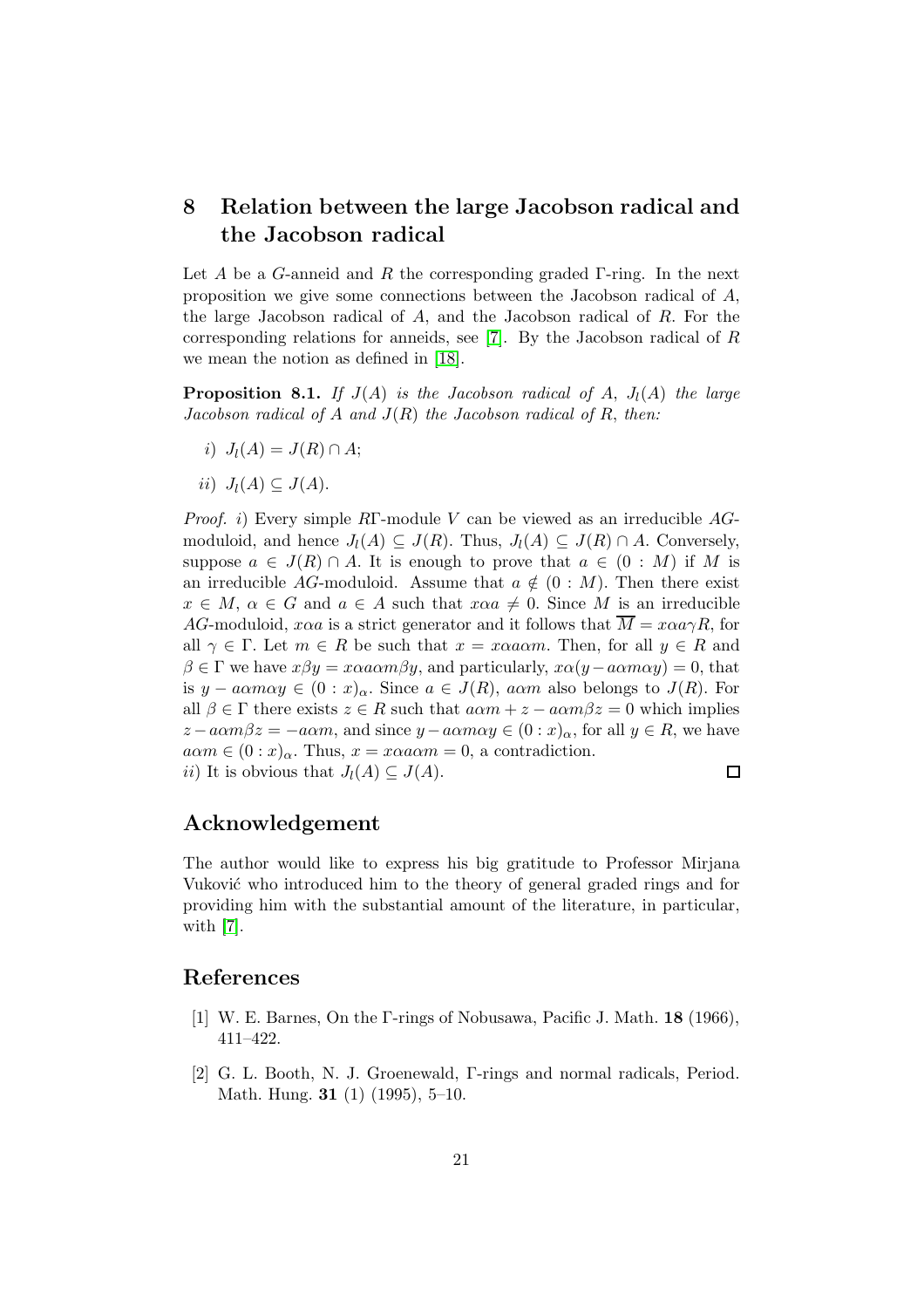# 8 Relation between the large Jacobson radical and the Jacobson radical

Let A be a G-anneid and R the corresponding graded Γ-ring. In the next proposition we give some connections between the Jacobson radical of A, the large Jacobson radical of A, and the Jacobson radical of R. For the corresponding relations for anneids, see [\[7\]](#page-21-7). By the Jacobson radical of  $R$ we mean the notion as defined in [\[18\]](#page-22-0).

**Proposition 8.1.** *If*  $J(A)$  *is the Jacobson radical of*  $A$ ,  $J<sub>l</sub>(A)$  *the large Jacobson radical of* A *and* J(R) *the Jacobson radical of* R, *then:*

- i)  $J_l(A) = J(R) \cap A;$
- ii)  $J_l(A) \subset J(A)$ .

*Proof.* i) Every simple RΓ-module V can be viewed as an irreducible AGmoduloid, and hence  $J_l(A) \subseteq J(R)$ . Thus,  $J_l(A) \subseteq J(R) \cap A$ . Conversely, suppose  $a \in J(R) \cap A$ . It is enough to prove that  $a \in (0 : M)$  if M is an irreducible AG-moduloid. Assume that  $a \notin (0 : M)$ . Then there exist  $x \in M$ ,  $\alpha \in G$  and  $a \in A$  such that  $x\alpha a \neq 0$ . Since M is an irreducible AG-moduloid,  $x\alpha a$  is a strict generator and it follows that  $\overline{M} = x\alpha a\gamma R$ , for all  $\gamma \in \Gamma$ . Let  $m \in R$  be such that  $x = x\alpha a\alpha m$ . Then, for all  $y \in R$  and  $\beta \in \Gamma$  we have  $x\beta y = x\alpha a\alpha m\beta y$ , and particularly,  $x\alpha(y - a\alpha m\alpha y) = 0$ , that is  $y - a\alpha m\alpha y \in (0 : x)_{\alpha}$ . Since  $a \in J(R)$ ,  $a\alpha m$  also belongs to  $J(R)$ . For all  $\beta \in \Gamma$  there exists  $z \in R$  such that  $a \alpha m + z - a \alpha m \beta z = 0$  which implies  $z-a\alpha m\beta z=-a\alpha m$ , and since  $y-a\alpha m\alpha y\in(0:x)_{\alpha}$ , for all  $y\in R$ , we have  $a\alpha m \in (0:x)_{\alpha}$ . Thus,  $x = x\alpha a\alpha m = 0$ , a contradiction. ii) It is obvious that  $J_l(A) \subseteq J(A)$ .  $\Box$ 

## Acknowledgement

The author would like to express his big gratitude to Professor Mirjana Vuković who introduced him to the theory of general graded rings and for providing him with the substantial amount of the literature, in particular, with [\[7\]](#page-21-7).

## <span id="page-20-0"></span>References

- <span id="page-20-1"></span>[1] W. E. Barnes, On the Γ-rings of Nobusawa, Pacific J. Math. 18 (1966), 411–422.
- [2] G. L. Booth, N. J. Groenewald, Γ-rings and normal radicals, Period. Math. Hung. 31 (1) (1995), 5–10.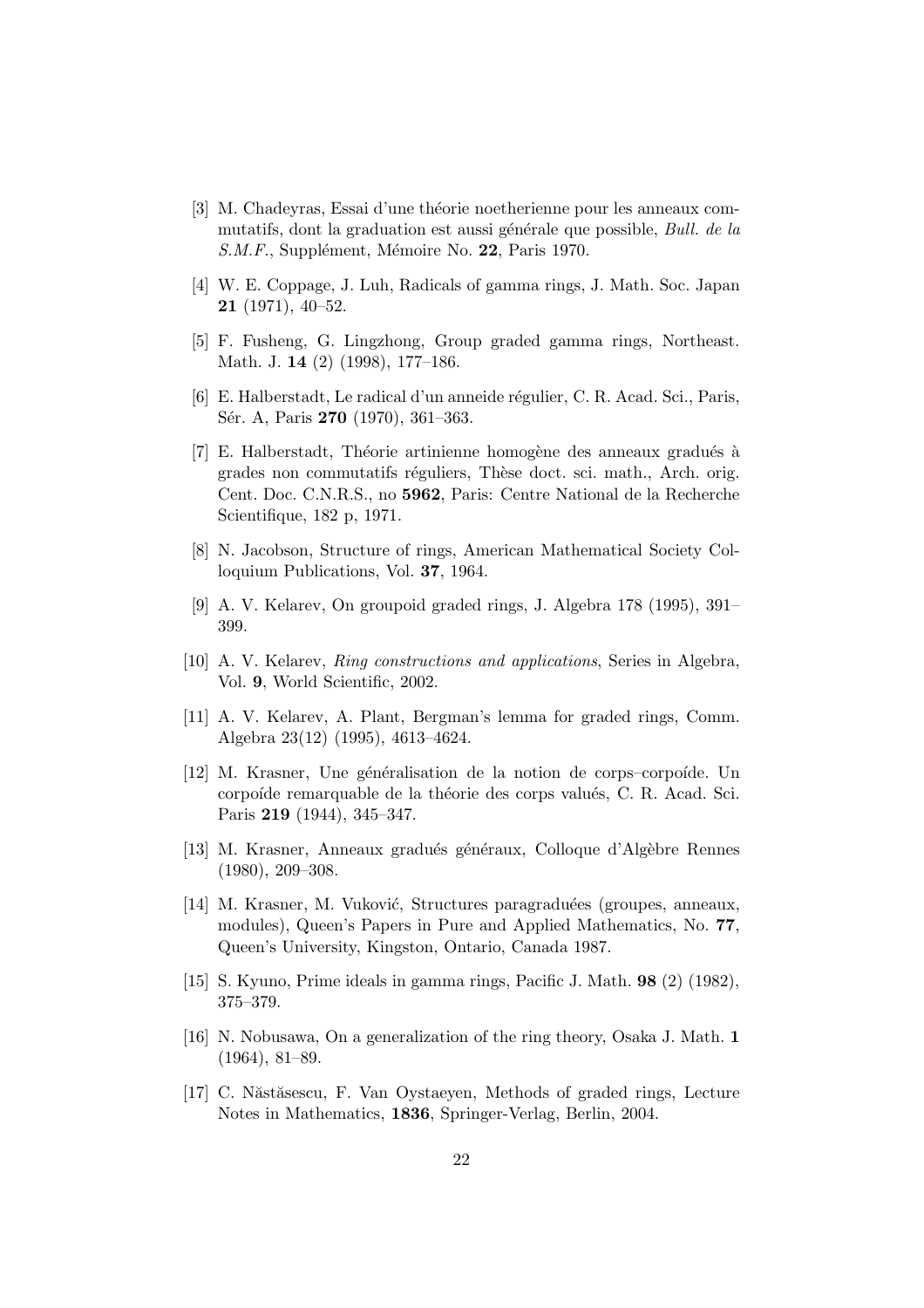- <span id="page-21-6"></span>[3] M. Chadeyras, Essai d'une théorie noetherienne pour les anneaux commutatifs, dont la graduation est aussi générale que possible, *Bull. de la S.M.F.*, Supplément, Mémoire No. 22, Paris 1970.
- <span id="page-21-3"></span><span id="page-21-1"></span>[4] W. E. Coppage, J. Luh, Radicals of gamma rings, J. Math. Soc. Japan 21 (1971), 40–52.
- <span id="page-21-14"></span>[5] F. Fusheng, G. Lingzhong, Group graded gamma rings, Northeast. Math. J. 14 (2) (1998), 177–186.
- <span id="page-21-7"></span>[6] E. Halberstadt, Le radical d'un anneide régulier, C. R. Acad. Sci., Paris, Sér. A, Paris 270 (1970), 361–363.
- $[7]$  E. Halberstadt, Théorie artinienne homogène des anneaux gradués à grades non commutatifs réguliers, Thèse doct. sci. math., Arch. orig. Cent. Doc. C.N.R.S., no 5962, Paris: Centre National de la Recherche Scientifique, 182 p, 1971.
- <span id="page-21-13"></span><span id="page-21-9"></span>[8] N. Jacobson, Structure of rings, American Mathematical Society Colloquium Publications, Vol. 37, 1964.
- <span id="page-21-8"></span>[9] A. V. Kelarev, On groupoid graded rings, J. Algebra 178 (1995), 391– 399.
- <span id="page-21-10"></span>[10] A. V. Kelarev, *Ring constructions and applications*, Series in Algebra, Vol. 9, World Scientific, 2002.
- [11] A. V. Kelarev, A. Plant, Bergman's lemma for graded rings, Comm. Algebra 23(12) (1995), 4613–4624.
- <span id="page-21-11"></span>[12] M. Krasner, Une généralisation de la notion de corps–corpoíde. Un corpoíde remarquable de la théorie des corps valués, C. R. Acad. Sci. Paris 219 (1944), 345–347.
- <span id="page-21-5"></span>[13] M. Krasner, Anneaux gradués généraux, Colloque d'Algèbre Rennes (1980), 209–308.
- <span id="page-21-12"></span>[14] M. Krasner, M. Vuković, Structures paragraduées (groupes, anneaux, modules), Queen's Papers in Pure and Applied Mathematics, No. 77, Queen's University, Kingston, Ontario, Canada 1987.
- <span id="page-21-2"></span><span id="page-21-0"></span>[15] S. Kyuno, Prime ideals in gamma rings, Pacific J. Math. 98 (2) (1982), 375–379.
- [16] N. Nobusawa, On a generalization of the ring theory, Osaka J. Math. 1 (1964), 81–89.
- <span id="page-21-4"></span>[17] C. Năstăsescu, F. Van Oystaeyen, Methods of graded rings, Lecture Notes in Mathematics, 1836, Springer-Verlag, Berlin, 2004.